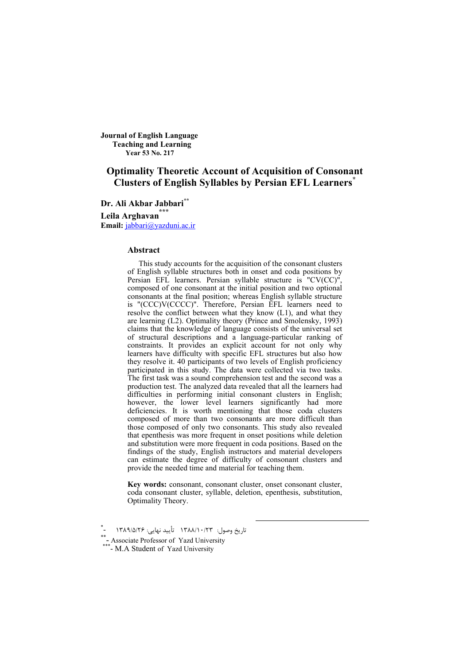**Journal of English Language Teaching and Learning Year 53 No. 217**

# **Optimality Theoretic Account of Acquisition of Consonant Clusters of English Syllables by Persian EFL Learners\***

**Dr. Ali Akbar Jabbari\*\* Leila Arghavan\*\*\* Email:** jabbari@yazduni.ac.ir

#### **Abstract**

This study accounts for the acquisition of the consonant clusters of English syllable structures both in onset and coda positions by Persian EFL learners. Persian syllable structure is "CV(CC)", composed of one consonant at the initial position and two optional consonants at the final position; whereas English syllable structure is "(CCC)V(CCCC)". Therefore, Persian EFL learners need to resolve the conflict between what they know (L1), and what they are learning (L2). Optimality theory (Prince and Smolensky, 1993) claims that the knowledge of language consists of the universal set of structural descriptions and a language-particular ranking of constraints. It provides an explicit account for not only why learners have difficulty with specific EFL structures but also how they resolve it. 40 participants of two levels of English proficiency participated in this study. The data were collected via two tasks. The first task was a sound comprehension test and the second was a production test. The analyzed data revealed that all the learners had difficulties in performing initial consonant clusters in English; however, the lower level learners significantly had more deficiencies. It is worth mentioning that those coda clusters composed of more than two consonants are more difficult than those composed of only two consonants. This study also revealed that epenthesis was more frequent in onset positions while deletion and substitution were more frequent in coda positions. Based on the findings of the study, English instructors and material developers can estimate the degree of difficulty of consonant clusters and provide the needed time and material for teaching them.

**Key words:** consonant, consonant cluster, onset consonant cluster, coda consonant cluster, syllable, deletion, epenthesis, substitution, Optimality Theory.

تاريخ وصول: ١٣٨٨/١٠/٢٣ تأييد نهايي: ١٣٨٩/٥/٢۶

<sup>\*\*-&</sup>lt;br>Associate Professor of Yazd University<br>A Student of Yazd University \*\*-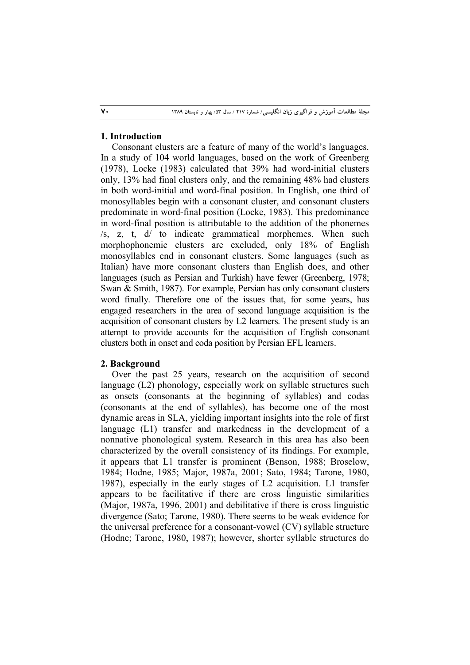# **1. Introduction**

Consonant clusters are a feature of many of the world's languages. In a study of 104 world languages, based on the work of Greenberg (1978), Locke (1983) calculated that 39% had word-initial clusters only, 13% had final clusters only, and the remaining 48% had clusters in both word-initial and word-final position. In English, one third of monosyllables begin with a consonant cluster, and consonant clusters predominate in word-final position (Locke, 1983). This predominance in word-final position is attributable to the addition of the phonemes /s, z, t, d/ to indicate grammatical morphemes. When such morphophonemic clusters are excluded, only 18% of English monosyllables end in consonant clusters. Some languages (such as Italian) have more consonant clusters than English does, and other languages (such as Persian and Turkish) have fewer (Greenberg, 1978; Swan & Smith, 1987). For example, Persian has only consonant clusters word finally. Therefore one of the issues that, for some years, has engaged researchers in the area of second language acquisition is the acquisition of consonant clusters by L2 learners. The present study is an attempt to provide accounts for the acquisition of English consonant clusters both in onset and coda position by Persian EFL learners.

## **2. Background**

Over the past 25 years, research on the acquisition of second language (L2) phonology, especially work on syllable structures such as onsets (consonants at the beginning of syllables) and codas (consonants at the end of syllables), has become one of the most dynamic areas in SLA, yielding important insights into the role of first language (L1) transfer and markedness in the development of a nonnative phonological system. Research in this area has also been characterized by the overall consistency of its findings. For example, it appears that L1 transfer is prominent (Benson, 1988; Broselow, 1984; Hodne, 1985; Major, 1987a, 2001; Sato, 1984; Tarone, 1980, 1987), especially in the early stages of L2 acquisition. L1 transfer appears to be facilitative if there are cross linguistic similarities (Major, 1987a, 1996, 2001) and debilitative if there is cross linguistic divergence (Sato; Tarone, 1980). There seems to be weak evidence for the universal preference for a consonant-vowel (CV) syllable structure (Hodne; Tarone, 1980, 1987); however, shorter syllable structures do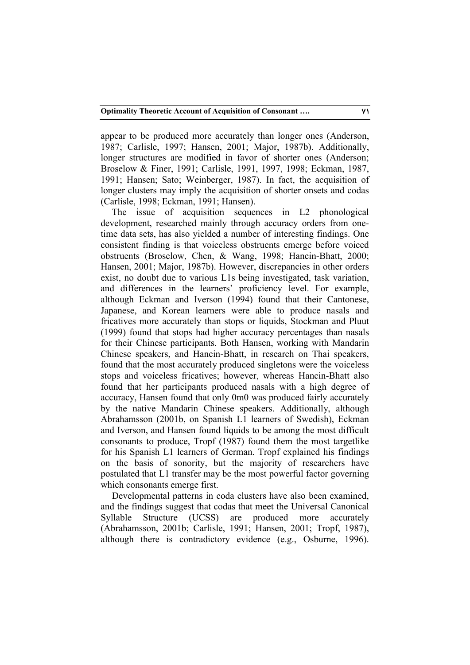appear to be produced more accurately than longer ones (Anderson, 1987; Carlisle, 1997; Hansen, 2001; Major, 1987b). Additionally, longer structures are modified in favor of shorter ones (Anderson; Broselow & Finer, 1991; Carlisle, 1991, 1997, 1998; Eckman, 1987, 1991; Hansen; Sato; Weinberger, 1987). In fact, the acquisition of longer clusters may imply the acquisition of shorter onsets and codas (Carlisle, 1998; Eckman, 1991; Hansen).

The issue of acquisition sequences in L2 phonological development, researched mainly through accuracy orders from onetime data sets, has also yielded a number of interesting findings. One consistent finding is that voiceless obstruents emerge before voiced obstruents (Broselow, Chen, & Wang, 1998; Hancin-Bhatt, 2000; Hansen, 2001; Major, 1987b). However, discrepancies in other orders exist, no doubt due to various L1s being investigated, task variation, and differences in the learners' proficiency level. For example, although Eckman and Iverson (1994) found that their Cantonese, Japanese, and Korean learners were able to produce nasals and fricatives more accurately than stops or liquids, Stockman and Pluut (1999) found that stops had higher accuracy percentages than nasals for their Chinese participants. Both Hansen, working with Mandarin Chinese speakers, and Hancin-Bhatt, in research on Thai speakers, found that the most accurately produced singletons were the voiceless stops and voiceless fricatives; however, whereas Hancin-Bhatt also found that her participants produced nasals with a high degree of accuracy, Hansen found that only 0m0 was produced fairly accurately by the native Mandarin Chinese speakers. Additionally, although Abrahamsson (2001b, on Spanish L1 learners of Swedish), Eckman and Iverson, and Hansen found liquids to be among the most difficult consonants to produce, Tropf (1987) found them the most targetlike for his Spanish L1 learners of German. Tropf explained his findings on the basis of sonority, but the majority of researchers have postulated that L1 transfer may be the most powerful factor governing which consonants emerge first.

Developmental patterns in coda clusters have also been examined, and the findings suggest that codas that meet the Universal Canonical Syllable Structure (UCSS) are produced more accurately (Abrahamsson, 2001b; Carlisle, 1991; Hansen, 2001; Tropf, 1987), although there is contradictory evidence (e.g., Osburne, 1996).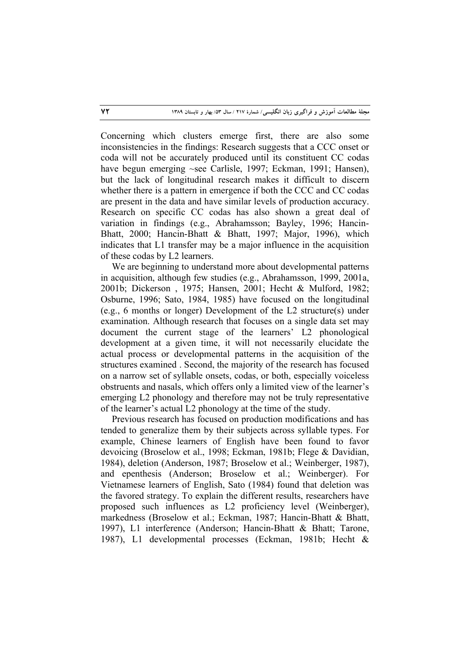Concerning which clusters emerge first, there are also some inconsistencies in the findings: Research suggests that a CCC onset or coda will not be accurately produced until its constituent CC codas have begun emerging ~see Carlisle, 1997; Eckman, 1991; Hansen), but the lack of longitudinal research makes it difficult to discern whether there is a pattern in emergence if both the CCC and CC codas are present in the data and have similar levels of production accuracy. Research on specific CC codas has also shown a great deal of variation in findings (e.g., Abrahamsson; Bayley, 1996; Hancin-Bhatt, 2000; Hancin-Bhatt & Bhatt, 1997; Major, 1996), which indicates that L1 transfer may be a major influence in the acquisition of these codas by L2 learners.

We are beginning to understand more about developmental patterns in acquisition, although few studies (e.g., Abrahamsson, 1999, 2001a, 2001b; Dickerson , 1975; Hansen, 2001; Hecht & Mulford, 1982; Osburne, 1996; Sato, 1984, 1985) have focused on the longitudinal (e.g., 6 months or longer) Development of the L2 structure(s) under examination. Although research that focuses on a single data set may document the current stage of the learners' L2 phonological development at a given time, it will not necessarily elucidate the actual process or developmental patterns in the acquisition of the structures examined . Second, the majority of the research has focused on a narrow set of syllable onsets, codas, or both, especially voiceless obstruents and nasals, which offers only a limited view of the learner's emerging L2 phonology and therefore may not be truly representative of the learner's actual L2 phonology at the time of the study.

Previous research has focused on production modifications and has tended to generalize them by their subjects across syllable types. For example, Chinese learners of English have been found to favor devoicing (Broselow et al., 1998; Eckman, 1981b; Flege & Davidian, 1984), deletion (Anderson, 1987; Broselow et al.; Weinberger, 1987), and epenthesis (Anderson; Broselow et al.; Weinberger). For Vietnamese learners of English, Sato (1984) found that deletion was the favored strategy. To explain the different results, researchers have proposed such influences as L2 proficiency level (Weinberger), markedness (Broselow et al.; Eckman, 1987; Hancin-Bhatt & Bhatt, 1997), L1 interference (Anderson; Hancin-Bhatt & Bhatt; Tarone, 1987), L1 developmental processes (Eckman, 1981b; Hecht &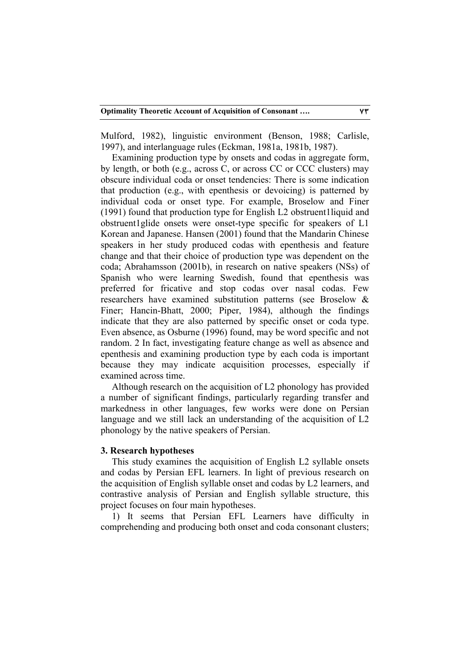Mulford, 1982), linguistic environment (Benson, 1988; Carlisle, 1997), and interlanguage rules (Eckman, 1981a, 1981b, 1987).

Examining production type by onsets and codas in aggregate form, by length, or both (e.g., across C, or across CC or CCC clusters) may obscure individual coda or onset tendencies: There is some indication that production (e.g., with epenthesis or devoicing) is patterned by individual coda or onset type. For example, Broselow and Finer (1991) found that production type for English L2 obstruent1liquid and obstruent1glide onsets were onset-type specific for speakers of L1 Korean and Japanese. Hansen (2001) found that the Mandarin Chinese speakers in her study produced codas with epenthesis and feature change and that their choice of production type was dependent on the coda; Abrahamsson (2001b), in research on native speakers (NSs) of Spanish who were learning Swedish, found that epenthesis was preferred for fricative and stop codas over nasal codas. Few researchers have examined substitution patterns (see Broselow & Finer; Hancin-Bhatt, 2000; Piper, 1984), although the findings indicate that they are also patterned by specific onset or coda type. Even absence, as Osburne (1996) found, may be word specific and not random. 2 In fact, investigating feature change as well as absence and epenthesis and examining production type by each coda is important because they may indicate acquisition processes, especially if examined across time.

Although research on the acquisition of L2 phonology has provided a number of significant findings, particularly regarding transfer and markedness in other languages, few works were done on Persian language and we still lack an understanding of the acquisition of L2 phonology by the native speakers of Persian.

# **3. Research hypotheses**

This study examines the acquisition of English L2 syllable onsets and codas by Persian EFL learners. In light of previous research on the acquisition of English syllable onset and codas by L2 learners, and contrastive analysis of Persian and English syllable structure, this project focuses on four main hypotheses.

1) It seems that Persian EFL Learners have difficulty in comprehending and producing both onset and coda consonant clusters;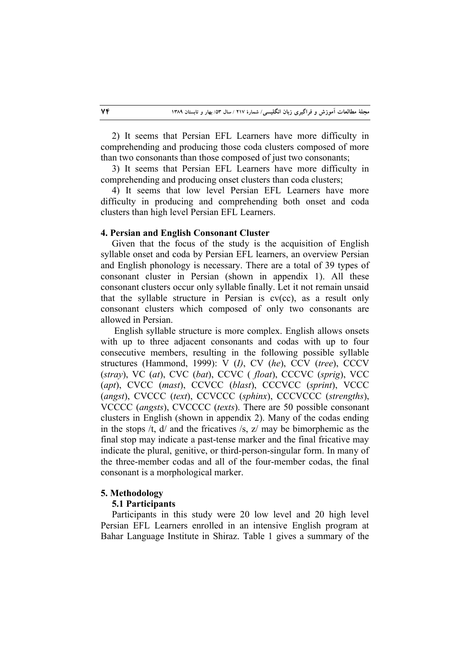2) It seems that Persian EFL Learners have more difficulty in comprehending and producing those coda clusters composed of more than two consonants than those composed of just two consonants;

3) It seems that Persian EFL Learners have more difficulty in comprehending and producing onset clusters than coda clusters;

4) It seems that low level Persian EFL Learners have more difficulty in producing and comprehending both onset and coda clusters than high level Persian EFL Learners.

#### **4. Persian and English Consonant Cluster**

Given that the focus of the study is the acquisition of English syllable onset and coda by Persian EFL learners, an overview Persian and English phonology is necessary. There are a total of 39 types of consonant cluster in Persian (shown in appendix 1). All these consonant clusters occur only syllable finally. Let it not remain unsaid that the syllable structure in Persian is cv(cc), as a result only consonant clusters which composed of only two consonants are allowed in Persian.

 English syllable structure is more complex. English allows onsets with up to three adjacent consonants and codas with up to four consecutive members, resulting in the following possible syllable structures (Hammond, 1999): V (*I)*, CV (*he*), CCV (*tree*), CCCV (*stray*), VC (*at*), CVC (*bat*), CCVC ( *float*), CCCVC (*sprig*), VCC (*apt*), CVCC (*mast*), CCVCC (*blast*), CCCVCC (*sprint*), VCCC (*angst*), CVCCC (*text*), CCVCCC (*sphinx*), CCCVCCC (*strengths*), VCCCC (*angsts*), CVCCCC (*texts*). There are 50 possible consonant clusters in English (shown in appendix 2). Many of the codas ending in the stops  $/t$ ,  $d/$  and the fricatives  $/s$ ,  $z/$  may be bimorphemic as the final stop may indicate a past-tense marker and the final fricative may indicate the plural, genitive, or third-person-singular form. In many of the three-member codas and all of the four-member codas, the final consonant is a morphological marker.

#### **5. Methodology**

#### **5.1 Participants**

Participants in this study were 20 low level and 20 high level Persian EFL Learners enrolled in an intensive English program at Bahar Language Institute in Shiraz. Table 1 gives a summary of the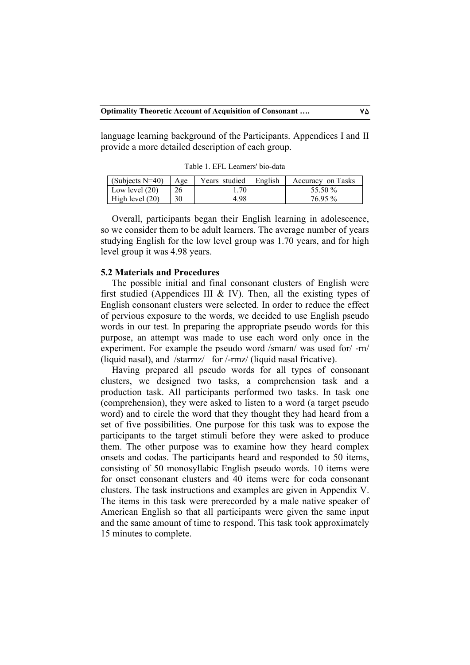language learning background of the Participants. Appendices I and II provide a more detailed description of each group.

Table 1. EFL Learners' bio-data

| (Subjects $N=40$ ) | Age | Years studied | English | Accuracy on Tasks |
|--------------------|-----|---------------|---------|-------------------|
| Low level $(20)$   | 26  | .70           |         | 55.50 %           |
| High level $(20)$  |     | 4.98          |         | 76.95 %           |

Overall, participants began their English learning in adolescence, so we consider them to be adult learners. The average number of years studying English for the low level group was 1.70 years, and for high level group it was 4.98 years.

## **5.2 Materials and Procedures**

The possible initial and final consonant clusters of English were first studied (Appendices III  $&$  IV). Then, all the existing types of English consonant clusters were selected. In order to reduce the effect of pervious exposure to the words, we decided to use English pseudo words in our test. In preparing the appropriate pseudo words for this purpose, an attempt was made to use each word only once in the experiment. For example the pseudo word /smarn/ was used for/ -rn/ (liquid nasal), and /starmz/ for /-rmz/ (liquid nasal fricative).

Having prepared all pseudo words for all types of consonant clusters, we designed two tasks, a comprehension task and a production task. All participants performed two tasks. In task one (comprehension), they were asked to listen to a word (a target pseudo word) and to circle the word that they thought they had heard from a set of five possibilities. One purpose for this task was to expose the participants to the target stimuli before they were asked to produce them. The other purpose was to examine how they heard complex onsets and codas. The participants heard and responded to 50 items, consisting of 50 monosyllabic English pseudo words. 10 items were for onset consonant clusters and 40 items were for coda consonant clusters. The task instructions and examples are given in Appendix V. The items in this task were prerecorded by a male native speaker of American English so that all participants were given the same input and the same amount of time to respond. This task took approximately 15 minutes to complete.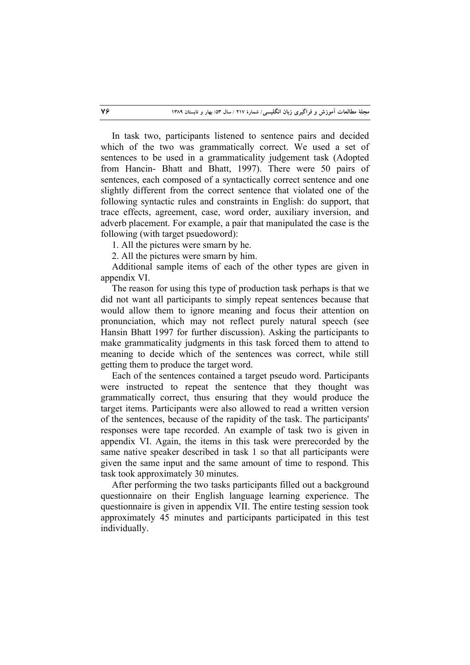In task two, participants listened to sentence pairs and decided which of the two was grammatically correct. We used a set of sentences to be used in a grammaticality judgement task (Adopted from Hancin- Bhatt and Bhatt, 1997). There were 50 pairs of sentences, each composed of a syntactically correct sentence and one slightly different from the correct sentence that violated one of the following syntactic rules and constraints in English: do support, that trace effects, agreement, case, word order, auxiliary inversion, and adverb placement. For example, a pair that manipulated the case is the following (with target psuedoword):

1. All the pictures were smarn by he.

2. All the pictures were smarn by him.

Additional sample items of each of the other types are given in appendix VI.

The reason for using this type of production task perhaps is that we did not want all participants to simply repeat sentences because that would allow them to ignore meaning and focus their attention on pronunciation, which may not reflect purely natural speech (see Hansin Bhatt 1997 for further discussion). Asking the participants to make grammaticality judgments in this task forced them to attend to meaning to decide which of the sentences was correct, while still getting them to produce the target word.

Each of the sentences contained a target pseudo word. Participants were instructed to repeat the sentence that they thought was grammatically correct, thus ensuring that they would produce the target items. Participants were also allowed to read a written version of the sentences, because of the rapidity of the task. The participants' responses were tape recorded. An example of task two is given in appendix VI. Again, the items in this task were prerecorded by the same native speaker described in task 1 so that all participants were given the same input and the same amount of time to respond. This task took approximately 30 minutes.

After performing the two tasks participants filled out a background questionnaire on their English language learning experience. The questionnaire is given in appendix VII. The entire testing session took approximately 45 minutes and participants participated in this test individually.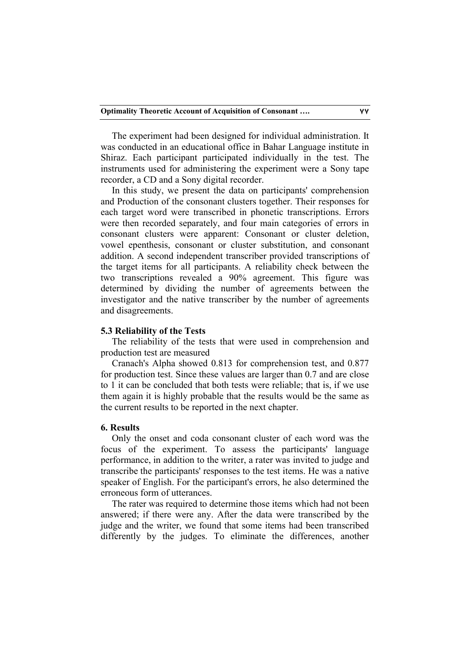The experiment had been designed for individual administration. It was conducted in an educational office in Bahar Language institute in Shiraz. Each participant participated individually in the test. The instruments used for administering the experiment were a Sony tape recorder, a CD and a Sony digital recorder.

In this study, we present the data on participants' comprehension and Production of the consonant clusters together. Their responses for each target word were transcribed in phonetic transcriptions. Errors were then recorded separately, and four main categories of errors in consonant clusters were apparent: Consonant or cluster deletion, vowel epenthesis, consonant or cluster substitution, and consonant addition. A second independent transcriber provided transcriptions of the target items for all participants. A reliability check between the two transcriptions revealed a 90% agreement. This figure was determined by dividing the number of agreements between the investigator and the native transcriber by the number of agreements and disagreements.

#### **5.3 Reliability of the Tests**

The reliability of the tests that were used in comprehension and production test are measured

Cranach's Alpha showed 0.813 for comprehension test, and 0.877 for production test. Since these values are larger than 0.7 and are close to 1 it can be concluded that both tests were reliable; that is, if we use them again it is highly probable that the results would be the same as the current results to be reported in the next chapter.

## **6. Results**

Only the onset and coda consonant cluster of each word was the focus of the experiment. To assess the participants' language performance, in addition to the writer, a rater was invited to judge and transcribe the participants' responses to the test items. He was a native speaker of English. For the participant's errors, he also determined the erroneous form of utterances.

The rater was required to determine those items which had not been answered; if there were any. After the data were transcribed by the judge and the writer, we found that some items had been transcribed differently by the judges. To eliminate the differences, another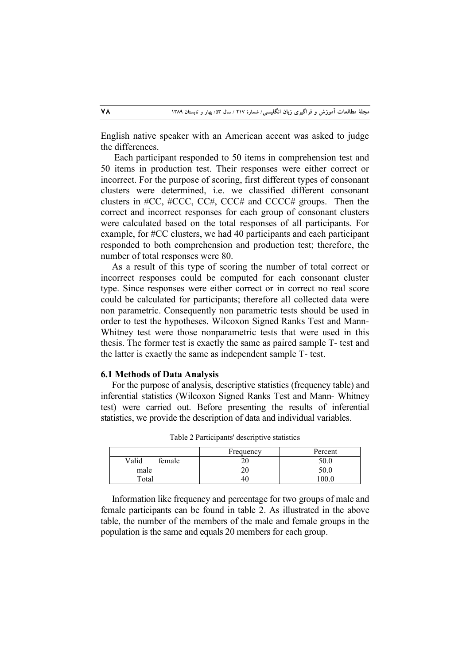English native speaker with an American accent was asked to judge the differences.

 Each participant responded to 50 items in comprehension test and 50 items in production test. Their responses were either correct or incorrect. For the purpose of scoring, first different types of consonant clusters were determined, i.e. we classified different consonant clusters in #CC, #CCC, CC#, CCC# and CCCC# groups. Then the correct and incorrect responses for each group of consonant clusters were calculated based on the total responses of all participants. For example, for #CC clusters, we had 40 participants and each participant responded to both comprehension and production test; therefore, the number of total responses were 80.

As a result of this type of scoring the number of total correct or incorrect responses could be computed for each consonant cluster type. Since responses were either correct or in correct no real score could be calculated for participants; therefore all collected data were non parametric. Consequently non parametric tests should be used in order to test the hypotheses. Wilcoxon Signed Ranks Test and Mann-Whitney test were those nonparametric tests that were used in this thesis. The former test is exactly the same as paired sample T- test and the latter is exactly the same as independent sample T- test.

#### **6.1 Methods of Data Analysis**

For the purpose of analysis, descriptive statistics (frequency table) and inferential statistics (Wilcoxon Signed Ranks Test and Mann- Whitney test) were carried out. Before presenting the results of inferential statistics, we provide the description of data and individual variables.

|                 | Frequency | Percent |
|-----------------|-----------|---------|
| Valid<br>female | 20        | 50.0    |
| male            | 20        | 50.0    |
| Total           | 46        | 00.0    |

Table 2 Participants' descriptive statistics

Information like frequency and percentage for two groups of male and female participants can be found in table 2. As illustrated in the above table, the number of the members of the male and female groups in the population is the same and equals 20 members for each group.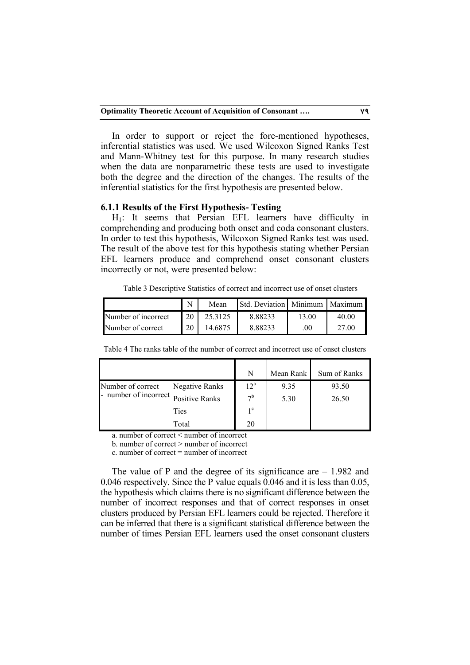In order to support or reject the fore-mentioned hypotheses, inferential statistics was used. We used Wilcoxon Signed Ranks Test and Mann-Whitney test for this purpose. In many research studies when the data are nonparametric these tests are used to investigate both the degree and the direction of the changes. The results of the inferential statistics for the first hypothesis are presented below.

## **6.1.1 Results of the First Hypothesis- Testing**

H1: It seems that Persian EFL learners have difficulty in comprehending and producing both onset and coda consonant clusters. In order to test this hypothesis, Wilcoxon Signed Ranks test was used. The result of the above test for this hypothesis stating whether Persian EFL learners produce and comprehend onset consonant clusters incorrectly or not, were presented below:

Table 3 Descriptive Statistics of correct and incorrect use of onset clusters

|                     | N  | Mean    | <b>Std. Deviation Minimum</b> |       | $\cdot$ 1 Maximum $\blacktriangleright$ |
|---------------------|----|---------|-------------------------------|-------|-----------------------------------------|
| Number of incorrect | 20 | 25.3125 | 8.88233                       | 13.00 | 40.00                                   |
| Number of correct   | 20 | 14 6875 | 8.88233                       | .00   | 27.00                                   |

|                                    |                       | N              | Mean Rank | Sum of Ranks |
|------------------------------------|-----------------------|----------------|-----------|--------------|
| Number of correct                  | <b>Negative Ranks</b> | $12^a$         | 9.35      | 93.50        |
| number of incorrect Positive Ranks |                       | 7 <sup>b</sup> | 5.30      | 26.50        |
|                                    | Ties                  | 1 <sup>c</sup> |           |              |
|                                    | Total                 | 20             |           |              |

Table 4 The ranks table of the number of correct and incorrect use of onset clusters

a. number of correct < number of incorrect

b. number of correct > number of incorrect

c. number of correct = number of incorrect

The value of P and the degree of its significance are  $-1.982$  and 0.046 respectively. Since the P value equals 0.046 and it is less than 0.05, the hypothesis which claims there is no significant difference between the number of incorrect responses and that of correct responses in onset clusters produced by Persian EFL learners could be rejected. Therefore it can be inferred that there is a significant statistical difference between the number of times Persian EFL learners used the onset consonant clusters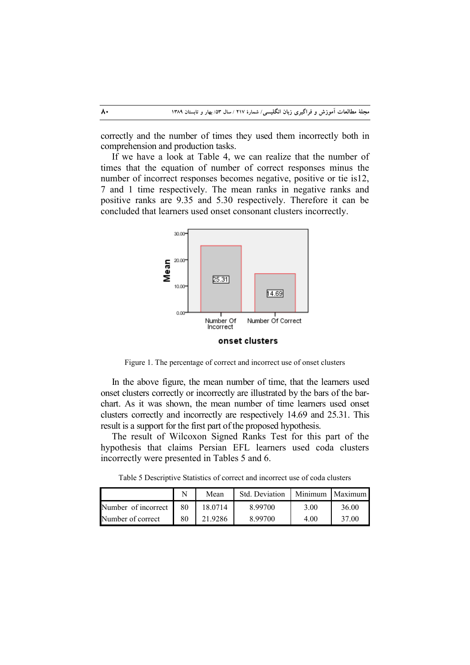correctly and the number of times they used them incorrectly both in comprehension and production tasks.

If we have a look at Table 4, we can realize that the number of times that the equation of number of correct responses minus the number of incorrect responses becomes negative, positive or tie is12, 7 and 1 time respectively. The mean ranks in negative ranks and positive ranks are 9.35 and 5.30 respectively. Therefore it can be concluded that learners used onset consonant clusters incorrectly.



Figure 1. The percentage of correct and incorrect use of onset clusters

In the above figure, the mean number of time, that the learners used onset clusters correctly or incorrectly are illustrated by the bars of the barchart. As it was shown, the mean number of time learners used onset clusters correctly and incorrectly are respectively 14.69 and 25.31. This result is a support for the first part of the proposed hypothesis.

The result of Wilcoxon Signed Ranks Test for this part of the hypothesis that claims Persian EFL learners used coda clusters incorrectly were presented in Tables 5 and 6.

Table 5 Descriptive Statistics of correct and incorrect use of coda clusters

|                        |    | Mean    | Std. Deviation | Minimum | . I Maximum l |
|------------------------|----|---------|----------------|---------|---------------|
| Number of incorrect 80 |    | 18.0714 | 8.99700        | 3.00    | 36.00         |
| Number of correct      | 80 | 21.9286 | 8.99700        | 4.00    | 37.00         |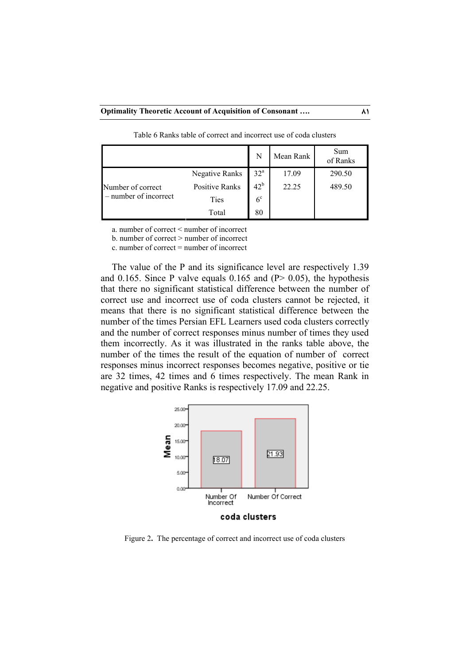|                       |                       | N              | Mean Rank | Sum<br>of Ranks |
|-----------------------|-----------------------|----------------|-----------|-----------------|
|                       | Negative Ranks        | $32^{\rm a}$   | 17.09     | 290.50          |
| Number of correct     | <b>Positive Ranks</b> | $42^b$         | 22.25     | 489.50          |
| - number of incorrect | Ties                  | 6 <sup>c</sup> |           |                 |
|                       | Total                 | 80             |           |                 |

Table 6 Ranks table of correct and incorrect use of coda clusters

a. number of correct < number of incorrect

b. number of correct > number of incorrect

c. number of correct = number of incorrect

The value of the P and its significance level are respectively 1.39 and 0.165. Since P valve equals 0.165 and  $(P> 0.05)$ , the hypothesis that there no significant statistical difference between the number of correct use and incorrect use of coda clusters cannot be rejected, it means that there is no significant statistical difference between the number of the times Persian EFL Learners used coda clusters correctly and the number of correct responses minus number of times they used them incorrectly. As it was illustrated in the ranks table above, the number of the times the result of the equation of number of correct responses minus incorrect responses becomes negative, positive or tie are 32 times, 42 times and 6 times respectively. The mean Rank in negative and positive Ranks is respectively 17.09 and 22.25.



Figure 2**.** The percentage of correct and incorrect use of coda clusters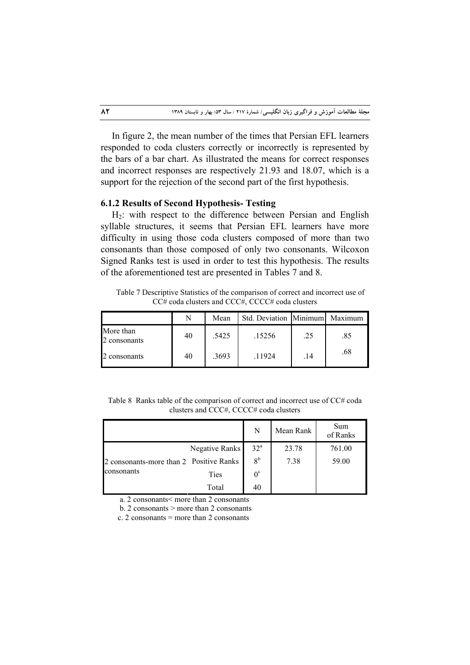In figure 2, the mean number of the times that Persian EFL learners responded to coda clusters correctly or incorrectly is represented by the bars of a bar chart. As illustrated the means for correct responses and incorrect responses are respectively 21.93 and 18.07, which is a support for the rejection of the second part of the first hypothesis.

# **6.1.2 Results of Second Hypothesis- Testing**

H2: with respect to the difference between Persian and English syllable structures, it seems that Persian EFL learners have more difficulty in using those coda clusters composed of more than two consonants than those composed of only two consonants. Wilcoxon Signed Ranks test is used in order to test this hypothesis. The results of the aforementioned test are presented in Tables 7 and 8.

Table 7 Descriptive Statistics of the comparison of correct and incorrect use of CC# coda clusters and CCC#, CCCC# coda clusters

|                           |    | Mean  | Std. Deviation Minimum |     | Maximum |
|---------------------------|----|-------|------------------------|-----|---------|
| More than<br>2 consonants | 40 | .5425 | .15256                 | .25 | .85     |
| 2 consonants              | 40 | .3693 | .11924                 | .14 | .68     |

Table 8 Ranks table of the comparison of correct and incorrect use of CC# coda clusters and CCC#, CCCC# coda clusters

|                                         |                | N               | Mean Rank | Sum<br>of Ranks |
|-----------------------------------------|----------------|-----------------|-----------|-----------------|
|                                         | Negative Ranks | 32 <sup>a</sup> | 23.78     | 761.00          |
| 2 consonants-more than 2 Positive Ranks |                | 8 <sup>b</sup>  | 7.38      | 59.00           |
| consonants                              | Ties           | $0^{\circ}$     |           |                 |
|                                         | Total          | 40              |           |                 |

a. 2 consonants< more than 2 consonants

b. 2 consonants  $>$  more than 2 consonants

c. 2 consonants  $=$  more than 2 consonants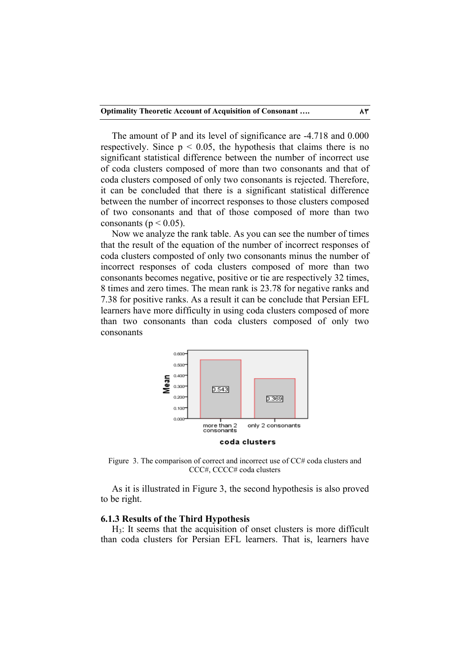The amount of P and its level of significance are -4.718 and 0.000 respectively. Since  $p < 0.05$ , the hypothesis that claims there is no significant statistical difference between the number of incorrect use of coda clusters composed of more than two consonants and that of coda clusters composed of only two consonants is rejected. Therefore, it can be concluded that there is a significant statistical difference between the number of incorrect responses to those clusters composed of two consonants and that of those composed of more than two consonants ( $p < 0.05$ ).

Now we analyze the rank table. As you can see the number of times that the result of the equation of the number of incorrect responses of coda clusters composted of only two consonants minus the number of incorrect responses of coda clusters composed of more than two consonants becomes negative, positive or tie are respectively 32 times, 8 times and zero times. The mean rank is 23.78 for negative ranks and 7.38 for positive ranks. As a result it can be conclude that Persian EFL learners have more difficulty in using coda clusters composed of more than two consonants than coda clusters composed of only two consonants



Figure 3. The comparison of correct and incorrect use of CC# coda clusters and CCC#, CCCC# coda clusters

As it is illustrated in Figure 3, the second hypothesis is also proved to be right.

## **6.1.3 Results of the Third Hypothesis**

 $H_3$ : It seems that the acquisition of onset clusters is more difficult than coda clusters for Persian EFL learners. That is, learners have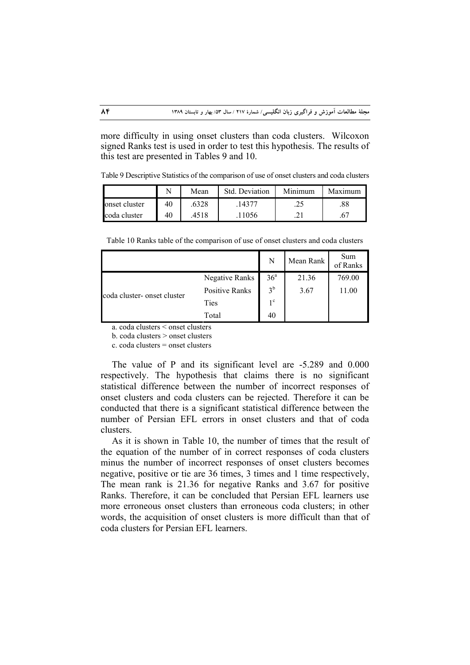more difficulty in using onset clusters than coda clusters. Wilcoxon signed Ranks test is used in order to test this hypothesis. The results of this test are presented in Tables 9 and 10.

Table 9 Descriptive Statistics of the comparison of use of onset clusters and coda clusters

|               | <b>T</b> | Mean  | Std. Deviation | Minimum | Maximum |
|---------------|----------|-------|----------------|---------|---------|
| onset cluster | 40       | .6328 | .14377         | .25     | .88     |
| coda cluster  | 40       | .4518 | 11056          |         | .67     |

Table 10 Ranks table of the comparison of use of onset clusters and coda clusters

|                             |                       | N               | Mean Rank | Sum<br>of Ranks |
|-----------------------------|-----------------------|-----------------|-----------|-----------------|
|                             | Negative Ranks        | 36 <sup>a</sup> | 21.36     | 769.00          |
| coda cluster- onset cluster | <b>Positive Ranks</b> | 3 <sup>b</sup>  | 3.67      | 11.00           |
|                             | Ties                  | $1^{\circ}$     |           |                 |
|                             | Total                 | 40              |           |                 |

a. coda clusters < onset clusters

b. coda clusters > onset clusters

c. coda clusters = onset clusters

The value of P and its significant level are -5.289 and 0.000 respectively. The hypothesis that claims there is no significant statistical difference between the number of incorrect responses of onset clusters and coda clusters can be rejected. Therefore it can be conducted that there is a significant statistical difference between the number of Persian EFL errors in onset clusters and that of coda clusters.

As it is shown in Table 10, the number of times that the result of the equation of the number of in correct responses of coda clusters minus the number of incorrect responses of onset clusters becomes negative, positive or tie are 36 times, 3 times and 1 time respectively, The mean rank is 21.36 for negative Ranks and 3.67 for positive Ranks. Therefore, it can be concluded that Persian EFL learners use more erroneous onset clusters than erroneous coda clusters; in other words, the acquisition of onset clusters is more difficult than that of coda clusters for Persian EFL learners.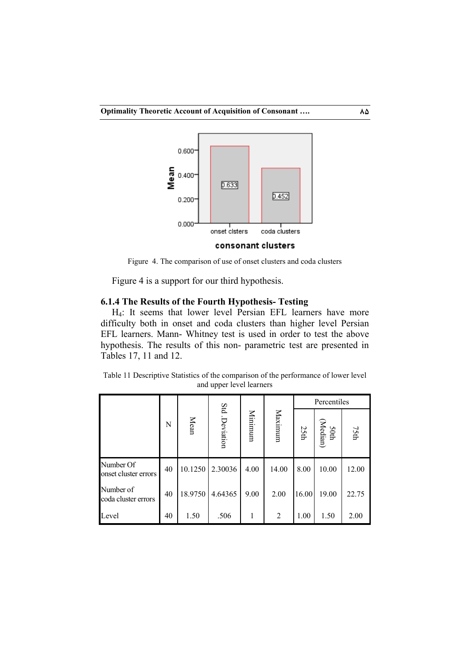

consonant clusters

Figure 4. The comparison of use of onset clusters and coda clusters

Figure 4 is a support for our third hypothesis.

## **6.1.4 The Results of the Fourth Hypothesis- Testing**

H4: It seems that lower level Persian EFL learners have more difficulty both in onset and coda clusters than higher level Persian EFL learners. Mann- Whitney test is used in order to test the above hypothesis. The results of this non- parametric test are presented in Tables 17, 11 and 12.

Table 11 Descriptive Statistics of the comparison of the performance of lower level and upper level learners

|                                   |    |         |                |         |         | Percentiles |                  |       |
|-----------------------------------|----|---------|----------------|---------|---------|-------------|------------------|-------|
|                                   | N  | Mean    | Std. Deviation | Minimum | Maximum | 25th        | 50th<br>(Median) | 75th  |
| Number Of<br>onset cluster errors | 40 | 10.1250 | 2.30036        | 4.00    | 14.00   | 8.00        | 10.00            | 12.00 |
| Number of<br>coda cluster errors  | 40 | 18.9750 | 4.64365        | 9.00    | 2.00    | 16.00       | 19.00            | 22.75 |
| Level                             | 40 | 1.50    | .506           | 1       | 2       | 1.00        | 1.50             | 2.00  |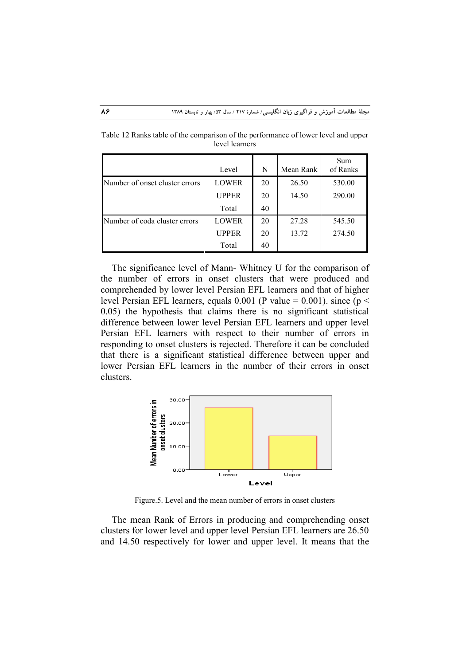|                                | Level        | N  | Mean Rank | Sum<br>of Ranks |
|--------------------------------|--------------|----|-----------|-----------------|
| Number of onset cluster errors | <b>LOWER</b> | 20 | 26.50     | 530.00          |
|                                | UPPER        | 20 | 14.50     | 290.00          |
|                                | Total        | 40 |           |                 |
| Number of coda cluster errors  | <b>LOWER</b> | 20 | 27.28     | 545.50          |
|                                | UPPER        | 20 | 13.72     | 274.50          |
|                                | Total        | 40 |           |                 |

Table 12 Ranks table of the comparison of the performance of lower level and upper level learners

The significance level of Mann- Whitney U for the comparison of the number of errors in onset clusters that were produced and comprehended by lower level Persian EFL learners and that of higher level Persian EFL learners, equals 0.001 (P value = 0.001). since ( $p <$ 0.05) the hypothesis that claims there is no significant statistical difference between lower level Persian EFL learners and upper level Persian EFL learners with respect to their number of errors in responding to onset clusters is rejected. Therefore it can be concluded that there is a significant statistical difference between upper and lower Persian EFL learners in the number of their errors in onset clusters.



Figure.5. Level and the mean number of errors in onset clusters

The mean Rank of Errors in producing and comprehending onset clusters for lower level and upper level Persian EFL learners are 26.50 and 14.50 respectively for lower and upper level. It means that the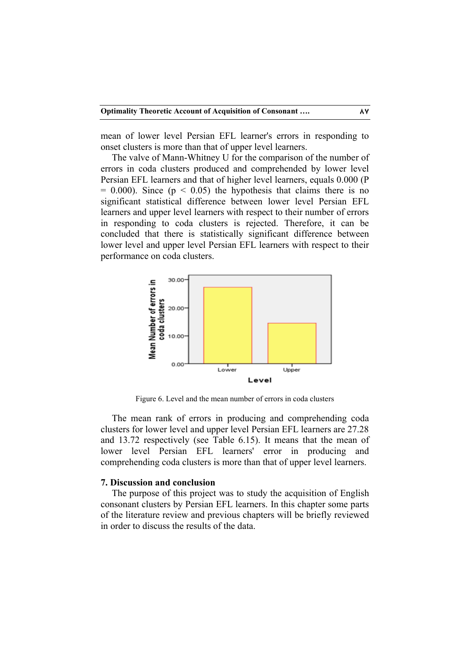mean of lower level Persian EFL learner's errors in responding to onset clusters is more than that of upper level learners.

The valve of Mann-Whitney U for the comparison of the number of errors in coda clusters produced and comprehended by lower level Persian EFL learners and that of higher level learners, equals 0.000 (P  $= 0.000$ . Since ( $p < 0.05$ ) the hypothesis that claims there is no significant statistical difference between lower level Persian EFL learners and upper level learners with respect to their number of errors in responding to coda clusters is rejected. Therefore, it can be concluded that there is statistically significant difference between lower level and upper level Persian EFL learners with respect to their performance on coda clusters.



Figure 6. Level and the mean number of errors in coda clusters

The mean rank of errors in producing and comprehending coda clusters for lower level and upper level Persian EFL learners are 27.28 and 13.72 respectively (see Table 6.15). It means that the mean of lower level Persian EFL learners' error in producing and comprehending coda clusters is more than that of upper level learners.

## **7. Discussion and conclusion**

The purpose of this project was to study the acquisition of English consonant clusters by Persian EFL learners. In this chapter some parts of the literature review and previous chapters will be briefly reviewed in order to discuss the results of the data.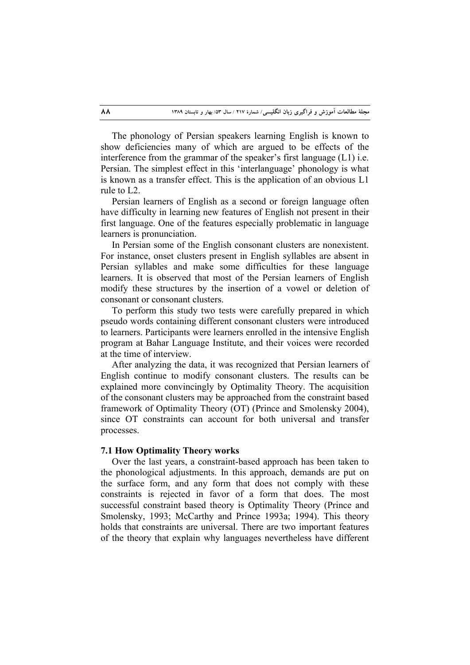The phonology of Persian speakers learning English is known to show deficiencies many of which are argued to be effects of the interference from the grammar of the speaker's first language (L1) i.e. Persian. The simplest effect in this 'interlanguage' phonology is what is known as a transfer effect. This is the application of an obvious L1 rule to L2.

Persian learners of English as a second or foreign language often have difficulty in learning new features of English not present in their first language. One of the features especially problematic in language learners is pronunciation.

In Persian some of the English consonant clusters are nonexistent. For instance, onset clusters present in English syllables are absent in Persian syllables and make some difficulties for these language learners. It is observed that most of the Persian learners of English modify these structures by the insertion of a vowel or deletion of consonant or consonant clusters.

To perform this study two tests were carefully prepared in which pseudo words containing different consonant clusters were introduced to learners. Participants were learners enrolled in the intensive English program at Bahar Language Institute, and their voices were recorded at the time of interview.

After analyzing the data, it was recognized that Persian learners of English continue to modify consonant clusters. The results can be explained more convincingly by Optimality Theory. The acquisition of the consonant clusters may be approached from the constraint based framework of Optimality Theory (OT) (Prince and Smolensky 2004), since OT constraints can account for both universal and transfer processes.

## **7.1 How Optimality Theory works**

Over the last years, a constraint-based approach has been taken to the phonological adjustments. In this approach, demands are put on the surface form, and any form that does not comply with these constraints is rejected in favor of a form that does. The most successful constraint based theory is Optimality Theory (Prince and Smolensky, 1993; McCarthy and Prince 1993a; 1994). This theory holds that constraints are universal. There are two important features of the theory that explain why languages nevertheless have different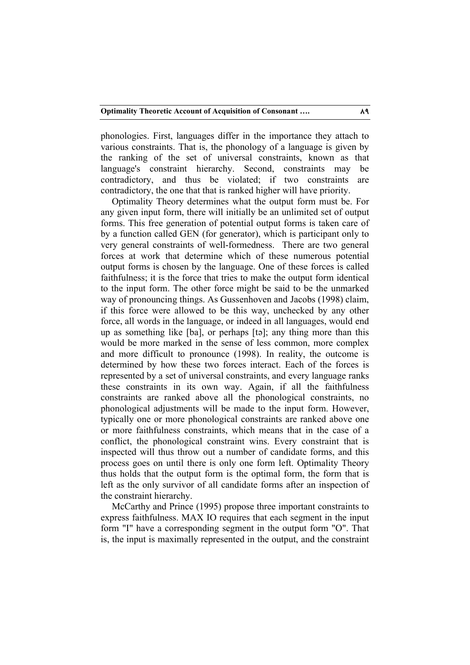phonologies. First, languages differ in the importance they attach to various constraints. That is, the phonology of a language is given by the ranking of the set of universal constraints, known as that language's constraint hierarchy. Second, constraints may be contradictory, and thus be violated; if two constraints are contradictory, the one that that is ranked higher will have priority.

Optimality Theory determines what the output form must be. For any given input form, there will initially be an unlimited set of output forms. This free generation of potential output forms is taken care of by a function called GEN (for generator), which is participant only to very general constraints of well-formedness. There are two general forces at work that determine which of these numerous potential output forms is chosen by the language. One of these forces is called faithfulness; it is the force that tries to make the output form identical to the input form. The other force might be said to be the unmarked way of pronouncing things. As Gussenhoven and Jacobs (1998) claim, if this force were allowed to be this way, unchecked by any other force, all words in the language, or indeed in all languages, would end up as something like [ba], or perhaps [tə]; any thing more than this would be more marked in the sense of less common, more complex and more difficult to pronounce (1998). In reality, the outcome is determined by how these two forces interact. Each of the forces is represented by a set of universal constraints, and every language ranks these constraints in its own way. Again, if all the faithfulness constraints are ranked above all the phonological constraints, no phonological adjustments will be made to the input form. However, typically one or more phonological constraints are ranked above one or more faithfulness constraints, which means that in the case of a conflict, the phonological constraint wins. Every constraint that is inspected will thus throw out a number of candidate forms, and this process goes on until there is only one form left. Optimality Theory thus holds that the output form is the optimal form, the form that is left as the only survivor of all candidate forms after an inspection of the constraint hierarchy.

McCarthy and Prince (1995) propose three important constraints to express faithfulness. MAX IO requires that each segment in the input form "I" have a corresponding segment in the output form "O". That is, the input is maximally represented in the output, and the constraint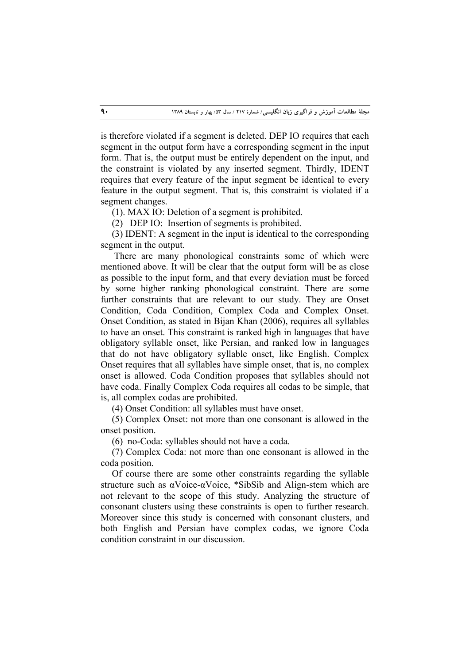is therefore violated if a segment is deleted. DEP IO requires that each segment in the output form have a corresponding segment in the input form. That is, the output must be entirely dependent on the input, and the constraint is violated by any inserted segment. Thirdly, IDENT requires that every feature of the input segment be identical to every feature in the output segment. That is, this constraint is violated if a segment changes.

(1). MAX IO: Deletion of a segment is prohibited.

(2) DEP IO: Insertion of segments is prohibited.

(3) IDENT: A segment in the input is identical to the corresponding segment in the output.

 There are many phonological constraints some of which were mentioned above. It will be clear that the output form will be as close as possible to the input form, and that every deviation must be forced by some higher ranking phonological constraint. There are some further constraints that are relevant to our study. They are Onset Condition, Coda Condition, Complex Coda and Complex Onset. Onset Condition, as stated in Bijan Khan (2006), requires all syllables to have an onset. This constraint is ranked high in languages that have obligatory syllable onset, like Persian, and ranked low in languages that do not have obligatory syllable onset, like English. Complex Onset requires that all syllables have simple onset, that is, no complex onset is allowed. Coda Condition proposes that syllables should not have coda. Finally Complex Coda requires all codas to be simple, that is, all complex codas are prohibited.

(4) Onset Condition: all syllables must have onset.

(5) Complex Onset: not more than one consonant is allowed in the onset position.

(6) no-Coda: syllables should not have a coda.

(7) Complex Coda: not more than one consonant is allowed in the coda position.

Of course there are some other constraints regarding the syllable structure such as αVoice-αVoice, \*SibSib and Align-stem which are not relevant to the scope of this study. Analyzing the structure of consonant clusters using these constraints is open to further research. Moreover since this study is concerned with consonant clusters, and both English and Persian have complex codas, we ignore Coda condition constraint in our discussion.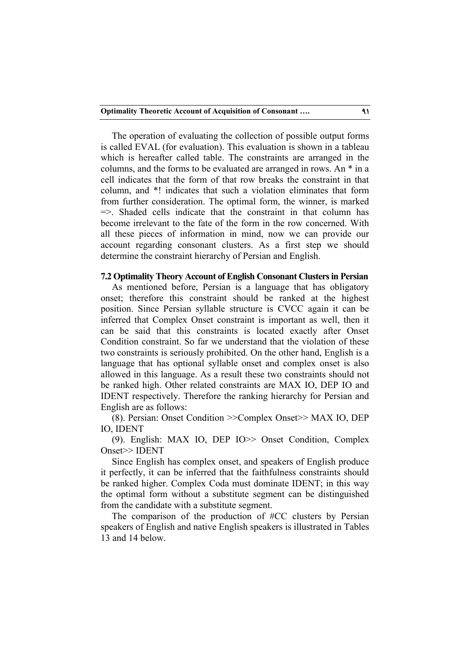The operation of evaluating the collection of possible output forms is called EVAL (for evaluation). This evaluation is shown in a tableau which is hereafter called table. The constraints are arranged in the columns, and the forms to be evaluated are arranged in rows. An \* in a cell indicates that the form of that row breaks the constraint in that column, and \*! indicates that such a violation eliminates that form from further consideration. The optimal form, the winner, is marked  $\Rightarrow$ . Shaded cells indicate that the constraint in that column has become irrelevant to the fate of the form in the row concerned. With all these pieces of information in mind, now we can provide our account regarding consonant clusters. As a first step we should determine the constraint hierarchy of Persian and English.

# **7.2 Optimality Theory Account of English Consonant Clusters in Persian**

As mentioned before, Persian is a language that has obligatory onset; therefore this constraint should be ranked at the highest position. Since Persian syllable structure is CVCC again it can be inferred that Complex Onset constraint is important as well, then it can be said that this constraints is located exactly after Onset Condition constraint. So far we understand that the violation of these two constraints is seriously prohibited. On the other hand, English is a language that has optional syllable onset and complex onset is also allowed in this language. As a result these two constraints should not be ranked high. Other related constraints are MAX IO, DEP IO and IDENT respectively. Therefore the ranking hierarchy for Persian and English are as follows:

(8). Persian: Onset Condition >>Complex Onset>> MAX IO, DEP IO, IDENT

(9). English: MAX IO, DEP IO>> Onset Condition, Complex Onset>> IDENT

Since English has complex onset, and speakers of English produce it perfectly, it can be inferred that the faithfulness constraints should be ranked higher. Complex Coda must dominate IDENT; in this way the optimal form without a substitute segment can be distinguished from the candidate with a substitute segment.

The comparison of the production of #CC clusters by Persian speakers of English and native English speakers is illustrated in Tables 13 and 14 below.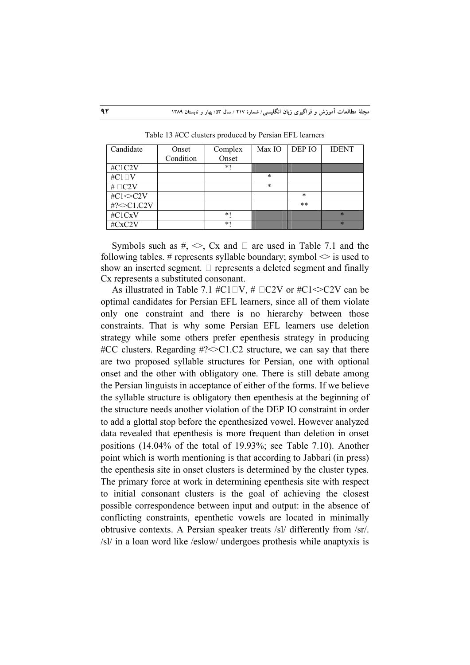| Candidate        | Onset     | Complex | Max IO  | DEP IO | <b>IDENT</b> |
|------------------|-----------|---------|---------|--------|--------------|
|                  | Condition | Onset   |         |        |              |
| #C1C2V           |           | $\ast$  |         |        |              |
| #C $1\square V$  |           |         | $\ast$  |        |              |
| # $\Box$ C2V     |           |         | $\star$ |        |              |
| #C1 $\leq$ C2V   |           |         |         | $\ast$ |              |
| #? $\leq$ C1.C2V |           |         |         | $* *$  |              |
| #C1CxV           |           | $\ast$  |         |        | $\ast$       |
| #CxC2V           |           | $*1$    |         |        | $\ast$       |

Table 13 #CC clusters produced by Persian EFL learners

Symbols such as  $\#$ ,  $\Diamond$ , Cx and  $\Box$  are used in Table 7.1 and the following tables. # represents syllable boundary; symbol  $\leq$  is used to show an inserted segment.  $\Box$  represents a deleted segment and finally Cx represents a substituted consonant.

As illustrated in Table 7.1 #C1 $\Box V$ , #  $\Box$ C2V or #C1 $\Diamond$ C2V can be optimal candidates for Persian EFL learners, since all of them violate only one constraint and there is no hierarchy between those constraints. That is why some Persian EFL learners use deletion strategy while some others prefer epenthesis strategy in producing  $\#CC$  clusters. Regarding  $\#$ ? $\leq$ C1.C2 structure, we can say that there are two proposed syllable structures for Persian, one with optional onset and the other with obligatory one. There is still debate among the Persian linguists in acceptance of either of the forms. If we believe the syllable structure is obligatory then epenthesis at the beginning of the structure needs another violation of the DEP IO constraint in order to add a glottal stop before the epenthesized vowel. However analyzed data revealed that epenthesis is more frequent than deletion in onset positions (14.04% of the total of 19.93%; see Table 7.10). Another point which is worth mentioning is that according to Jabbari (in press) the epenthesis site in onset clusters is determined by the cluster types. The primary force at work in determining epenthesis site with respect to initial consonant clusters is the goal of achieving the closest possible correspondence between input and output: in the absence of conflicting constraints, epenthetic vowels are located in minimally obtrusive contexts. A Persian speaker treats /sl/ differently from /sr/. /sl/ in a loan word like /eslow/ undergoes prothesis while anaptyxis is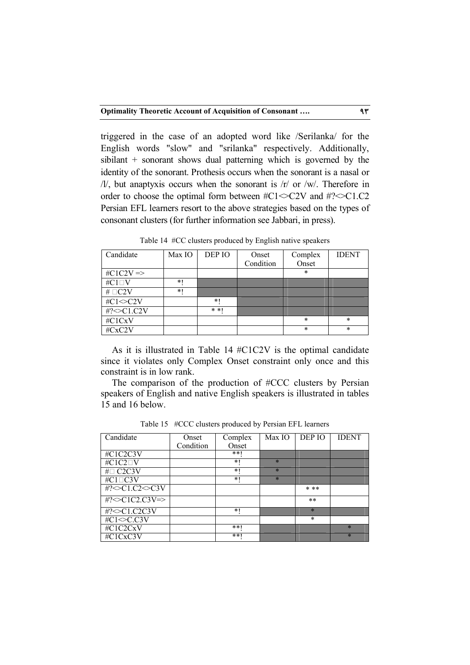triggered in the case of an adopted word like /Serilanka/ for the English words "slow" and "srilanka" respectively. Additionally, sibilant + sonorant shows dual patterning which is governed by the identity of the sonorant. Prothesis occurs when the sonorant is a nasal or  $/$ l/, but anaptyxis occurs when the sonorant is  $/r/$  or  $/$ w/. Therefore in order to choose the optimal form between  $\#C1 \leq C2V$  and  $\#? \leq C1.C2$ Persian EFL learners resort to the above strategies based on the types of consonant clusters (for further information see Jabbari, in press).

| Candidate             | Max IO | DEP IO | Onset     | Complex | <b>IDENT</b> |
|-----------------------|--------|--------|-----------|---------|--------------|
|                       |        |        | Condition | Onset   |              |
| $\#C1C2V \Rightarrow$ |        |        |           | $\ast$  |              |
| # $C1\square V$       | *1     |        |           |         |              |
| # $\Box$ C2V          | *1     |        |           |         |              |
| #C1 $\leq$ C2V        |        | $\ast$ |           |         |              |
| #?<>C1.C2V            |        | * *    |           |         |              |
| #C1CxV                |        |        |           | $\ast$  | $\ast$       |
| #CxC2V                |        |        |           | $\ast$  | $\ast$       |

Table 14 #CC clusters produced by English native speakers

As it is illustrated in Table 14 #C1C2V is the optimal candidate since it violates only Complex Onset constraint only once and this constraint is in low rank.

The comparison of the production of #CCC clusters by Persian speakers of English and native English speakers is illustrated in tables 15 and 16 below.

| Candidate                  | Onset     | Complex | Max IO  | DEP IO  | <b>IDENT</b> |
|----------------------------|-----------|---------|---------|---------|--------------|
|                            | Condition | Onset   |         |         |              |
| #C1C2C3V                   |           | $* * 1$ |         |         |              |
| #C1C2 <sup>D</sup> V       |           | $*1$    | $\star$ |         |              |
| $#$ $C2C3V$                |           | *1      | $\star$ |         |              |
| #C1□C3V                    |           | *1      | $\star$ |         |              |
| #? $\leq$ C1.C2 $\leq$ C3V |           |         |         | $* * *$ |              |
| #? $\leq$ C1C2.C3V=>       |           |         |         | $* *$   |              |
| #?<>C1.C2C3V               |           | $*1$    |         | $\star$ |              |
| $#C1 \leq C.C3V$           |           |         |         | $\ast$  |              |
| #C1C2CxV                   |           | $* * 1$ |         |         | $\ast$       |
| #C1CxC3V                   |           | $* * 1$ |         |         | $\ast$       |

Table 15 #CCC clusters produced by Persian EFL learners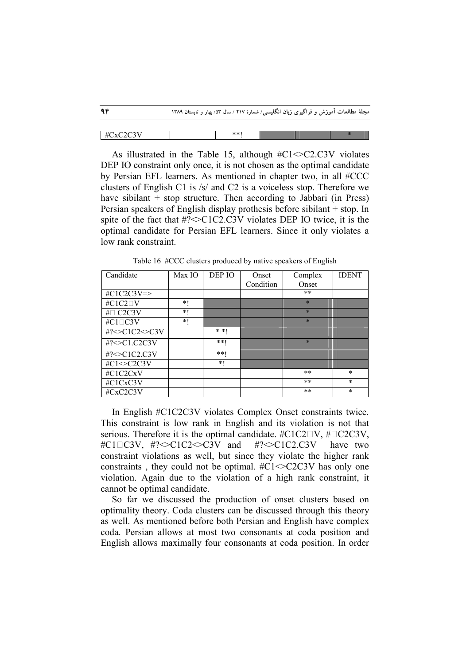|             | مجلهٔ مطالعات آموزش و فراگیری زبان انگلیسی/ شمارهٔ ۲۱۷ / سال ۵۳/ بهار و تابستان ۱۳۸۹ |     |  |  |
|-------------|--------------------------------------------------------------------------------------|-----|--|--|
|             |                                                                                      |     |  |  |
| $\#CxC2C3V$ |                                                                                      | **1 |  |  |

As illustrated in the Table 15, although #C1<>C2.C3V violates DEP IO constraint only once, it is not chosen as the optimal candidate by Persian EFL learners. As mentioned in chapter two, in all #CCC clusters of English C1 is /s/ and C2 is a voiceless stop. Therefore we have sibilant  $+$  stop structure. Then according to Jabbari (in Press) Persian speakers of English display prothesis before sibilant + stop. In spite of the fact that  $\text{\#?}$   $\text{\#?}$   $\text{\#?}$   $\text{\#?}$   $\text{\#?}$   $\text{\#?}$  violates DEP IO twice, it is the optimal candidate for Persian EFL learners. Since it only violates a low rank constraint.

| Candidate               | Max IO | DEP IO  | Onset     | Complex | <b>IDENT</b> |
|-------------------------|--------|---------|-----------|---------|--------------|
|                         |        |         | Condition | Onset   |              |
| $\#C1C2C3V \Rightarrow$ |        |         |           | **      |              |
| #C1C2 <sup>D</sup> V    | *1     |         |           | $\star$ |              |
| #□ C2C3V                | *1     |         |           | $\star$ |              |
| #C1□C3V                 | *1     |         |           | $\star$ |              |
| #?<>C1C2<>C3V           |        | $* * 1$ |           |         |              |
| #? $\leq$ C1.C2C3V      |        | $* * 1$ |           | $\star$ |              |
| #?<>C1C2.C3V            |        | $* * 1$ |           |         |              |
| #C1 $\leq$ C2C3V        |        | *1      |           |         |              |
| #C1C2CxV                |        |         |           | $* *$   | $\ast$       |
| #C1CxC3V                |        |         |           | $* *$   | $\ast$       |
| #CxC2C3V                |        |         |           | $* *$   | $\ast$       |

Table 16 #CCC clusters produced by native speakers of English

In English #C1C2C3V violates Complex Onset constraints twice. This constraint is low rank in English and its violation is not that serious. Therefore it is the optimal candidate.  $\#C1C2\square V$ ,  $\# \square C2C3V$ , #C1C3V, #?<>C1C2<>C3V and #?<>C1C2.C3V have two constraint violations as well, but since they violate the higher rank constraints, they could not be optimal.  $\#C1 \leq C2C3V$  has only one violation. Again due to the violation of a high rank constraint, it cannot be optimal candidate.

So far we discussed the production of onset clusters based on optimality theory. Coda clusters can be discussed through this theory as well. As mentioned before both Persian and English have complex coda. Persian allows at most two consonants at coda position and English allows maximally four consonants at coda position. In order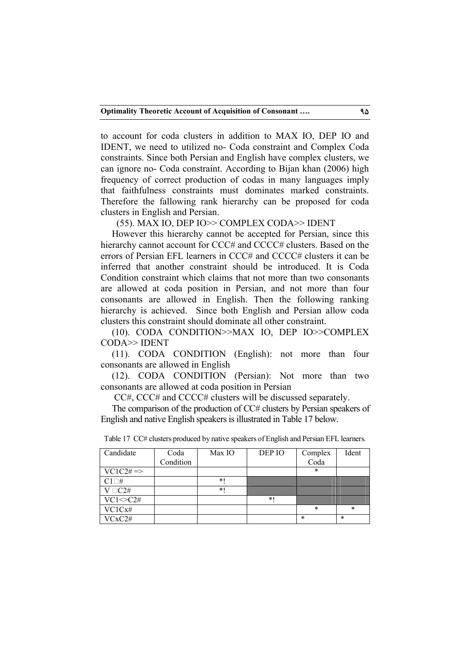to account for coda clusters in addition to MAX IO, DEP IO and IDENT, we need to utilized no- Coda constraint and Complex Coda constraints. Since both Persian and English have complex clusters, we can ignore no- Coda constraint. According to Bijan khan (2006) high frequency of correct production of codas in many languages imply that faithfulness constraints must dominates marked constraints. Therefore the fallowing rank hierarchy can be proposed for coda clusters in English and Persian.

(55). MAX IO, DEP IO>> COMPLEX CODA>> IDENT

However this hierarchy cannot be accepted for Persian, since this hierarchy cannot account for CCC# and CCCC# clusters. Based on the errors of Persian EFL learners in  $CCC#$  and  $CCCC#$  clusters it can be inferred that another constraint should be introduced. It is Coda Condition constraint which claims that not more than two consonants are allowed at coda position in Persian, and not more than four consonants are allowed in English. Then the following ranking hierarchy is achieved. Since both English and Persian allow coda clusters this constraint should dominate all other constraint.

(10). CODA CONDITION>>MAX IO, DEP IO>>COMPLEX CODA>> IDENT

(11). CODA CONDITION (English): not more than four consonants are allowed in English

(12). CODA CONDITION (Persian): Not more than two consonants are allowed at coda position in Persian

CC#, CCC# and CCCC# clusters will be discussed separately.

The comparison of the production of CC# clusters by Persian speakers of English and native English speakers is illustrated in Table 17 below.

| Candidate            | Coda      | Max IO | DEP IO | Complex | Ident  |
|----------------------|-----------|--------|--------|---------|--------|
|                      | Condition |        |        | Coda    |        |
| $VC1C2# \Rightarrow$ |           |        |        | *       |        |
| $C1\square H$        |           | $\ast$ |        |         |        |
| $V \Box C2#$         |           | *1     |        |         |        |
| $VC1 \sim C2#$       |           |        | $*1$   |         |        |
| VC1Cx#               |           |        |        | *       | $\ast$ |
| VCxC2#               |           |        |        | $\ast$  | *      |

Table 17 CC# clusters produced by native speakers of English and Persian EFL learners.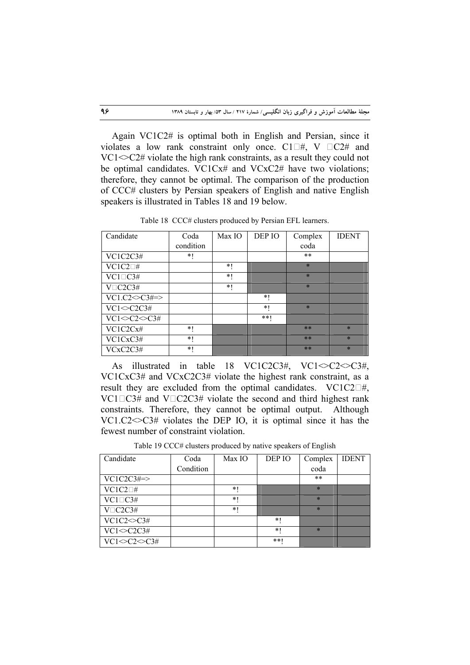Again VC1C2# is optimal both in English and Persian, since it violates a low rank constraint only once.  $Cl \square \#$ , V  $\square C2 \#$  and  $VC1 \ll C2\#$  violate the high rank constraints, as a result they could not be optimal candidates. VC1Cx# and VCxC2# have two violations; therefore, they cannot be optimal. The comparison of the production of CCC# clusters by Persian speakers of English and native English speakers is illustrated in Tables 18 and 19 below.

Candidate Coda condition Max IO DEP IO Complex coda IDENT  $VC1C2C3\#$  \*! \* \*\*  $VC1C2\Box$ # \*! \*! \*  $VC1\square C3\#$   $*!$   $*!$   $*$  $V \Box C2C3\#$  \*! \*! \*  $VC1.C2 \ll C3\# \Rightarrow$  \*!  $VC1 \leq C2C3\#$  \*! \*  $VC1 \leq C2 \leq C3#$  \*\*!  $VC1C2Cx\#$  \*!  $\qquad$  \* \*  $\qquad$  \*  $VC1CxC3#$  \*!  $\| * \| * \| * \| * \| *$  $VCxC2C3#$  \*!  $\blacksquare$  \*\*  $\blacksquare$  \*\*  $\blacksquare$  \*

Table 18 CCC# clusters produced by Persian EFL learners.

As illustrated in table 18 VC1C2C3#, VC1 $\leq$ C2 $\leq$ C3#, VC1CxC3# and VCxC2C3# violate the highest rank constraint, as a result they are excluded from the optimal candidates.  $VC1C2\square\#$ ,  $VC1\square C3#$  and  $V\square C2C3#$  violate the second and third highest rank constraints. Therefore, they cannot be optimal output. Although VC1.C2 $\leq$ C3# violates the DEP IO, it is optimal since it has the fewest number of constraint violation.

Table 19 CCC# clusters produced by native speakers of English

| Candidate                                  | Coda      | Max IO | DEP IO | Complex | <b>IDENT</b> |
|--------------------------------------------|-----------|--------|--------|---------|--------------|
|                                            | Condition |        |        | coda    |              |
| $VC1C2C3\#>>$                              |           |        |        | $* *$   |              |
| $VC1C2\square#$                            |           | *1     |        | $\star$ |              |
| $VC1\square C3#$                           |           | $*1$   |        | $\star$ |              |
| $\overline{V}$ C2C3#                       |           | $*1$   |        | $\star$ |              |
| $\overline{VC1C2}$ $\leq$ $\overline{C3#}$ |           |        | $*1$   |         |              |
| $VC1 \ll C2C3#$                            |           |        | $*1$   | $\star$ |              |
| $VC1 \ll C2 \ll C3#$                       |           |        | **1    |         |              |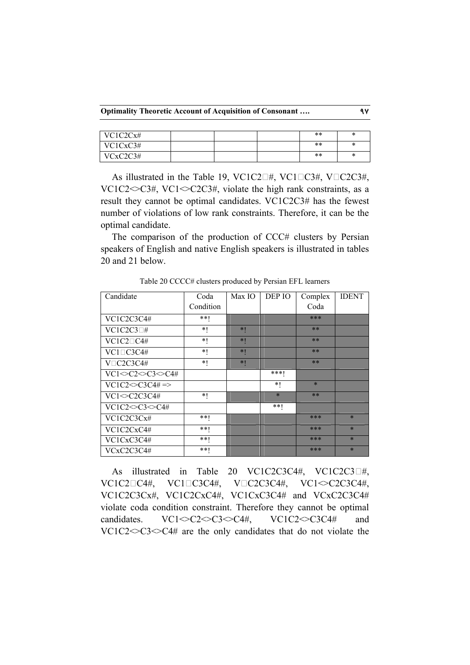**Optimality Theoretic Account of Acquisition of Consonant …. 97**

| VC1C2Cx# |  | $**$ | ∗ |
|----------|--|------|---|
| VC1CxC3# |  | $**$ | × |
| VCxC2C3# |  | $**$ | ∗ |

As illustrated in the Table 19, VC1C2 $\Box$ #, VC1 $\Box$ C3#, V $\Box$ C2C3#, VC1C2 $\leq$ C3#, VC1 $\leq$ C2C3#, violate the high rank constraints, as a result they cannot be optimal candidates. VC1C2C3# has the fewest number of violations of low rank constraints. Therefore, it can be the optimal candidate.

The comparison of the production of CCC# clusters by Persian speakers of English and native English speakers is illustrated in tables 20 and 21 below.

| Candidate                       | Coda      | Max IO | DEP IO  | Complex | <b>IDENT</b> |
|---------------------------------|-----------|--------|---------|---------|--------------|
|                                 | Condition |        |         | Coda    |              |
| VC1C2C3C4#                      | **        |        |         | ***     |              |
| $VC1C2C3\square#$               | $*1$      | $*1$   |         | $**$    |              |
| $VC1C2\square C4#$              | $*1$      | $*1$   |         | $**$    |              |
| $VC1\square C3C4#$              | $*1$      | $*1$   |         | $**$    |              |
| $V\square C2C3C4#$              | $*1$      | $*1$   |         | $**$    |              |
| $VC1 \ll C2 \ll C3 \ll C4#$     |           |        | ***     |         |              |
| $VC1C2 \leq C3C4\# \Rightarrow$ |           |        | $*1$    | $\ast$  |              |
| $VC1 \leq C2C3C4#$              | $*1$      |        | $\ast$  | $**$    |              |
| $VC1C2 \sim C3 \sim C4#$        |           |        | $* *  $ |         |              |
| VC1C2C3Cx#                      | **        |        |         | $***$   | $\ast$       |
| VC1C2CxC4#                      | $***$     |        |         | $***$   | $\ast$       |
| VC1CxC3C4#                      | **        |        |         | ***     | $\ast$       |
| VCxC2C3C4#                      | $***$     |        |         | ***     | $\ast$       |

Table 20 CCCC# clusters produced by Persian EFL learners

As illustrated in Table 20 VC1C2C3C4#, VC1C2C3 $\Box$ #, VC1C2□C4#, VC1□C3C4#, V□C2C3C4#, VC1<>C2C3C4#, VC1C2C3Cx#, VC1C2CxC4#, VC1CxC3C4# and VCxC2C3C4# violate coda condition constraint. Therefore they cannot be optimal candidates.  $VC1 \leq C2 \leq C3 \leq C4\#$ ,  $VC1C2 \leq C3C4\#$  and  $VC1C2 \leq C3 \leq C4$  are the only candidates that do not violate the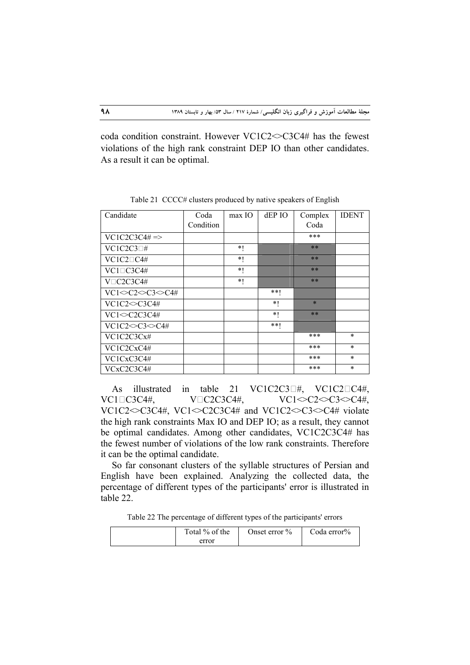coda condition constraint. However VC1C2<>C3C4# has the fewest violations of the high rank constraint DEP IO than other candidates. As a result it can be optimal.

| Candidate                   | Coda      | $max$ IO | dEP IO | Complex | <b>IDENT</b> |
|-----------------------------|-----------|----------|--------|---------|--------------|
|                             | Condition |          |        | Coda    |              |
| $VC1C2C3C4\# \Rightarrow$   |           |          |        | ***     |              |
| $VC1C2C3\square#$           |           | $*1$     |        | $**$    |              |
| $VC1C2\square C4#$          |           | *1       |        | $**$    |              |
| $VC1\square C3C4#$          |           | $*1$     |        | $**$    |              |
| $V\square C2C3C4#$          |           | $*1$     |        | $**$    |              |
| $VC1 \ll C2 \ll C3 \ll C4#$ |           |          | $**1$  |         |              |
| $VC1C2 \sim C3C4#$          |           |          | $*1$   | $\star$ |              |
| $VC1 \sim C2C3C4#$          |           |          | $*1$   | $**$    |              |
| $VC1C2 \sim C3 \sim C4#$    |           |          | $***$  |         |              |
| VC1C2C3Cx#                  |           |          |        | ***     | $\ast$       |
| VC1C2CxC4#                  |           |          |        | ***     | $\ast$       |
| VC1CxC3C4#                  |           |          |        | ***     | $\ast$       |
| VCxC2C3C4#                  |           |          |        | ***     | $\ast$       |

Table 21 CCCC# clusters produced by native speakers of English

As illustrated in table 21 VC1C2C3 $\Box$ #, VC1C2 $\Box$ C4#,  $VC1\square C3C4\#$ ,  $V\square C2C3C4\#$ ,  $VC1\simeq C2\simeq C3\simeq C4\#$ , VC1C2<>C3C4#, VC1<>C2C3C4# and VC1C2<>C3<>C4# violate the high rank constraints Max IO and DEP IO; as a result, they cannot be optimal candidates. Among other candidates, VC1C2C3C4# has the fewest number of violations of the low rank constraints. Therefore it can be the optimal candidate.

So far consonant clusters of the syllable structures of Persian and English have been explained. Analyzing the collected data, the percentage of different types of the participants' error is illustrated in table 22.

Table 22 The percentage of different types of the participants' errors

| Total % of the | Onset error $\%$ | Coda error% |
|----------------|------------------|-------------|
| error          |                  |             |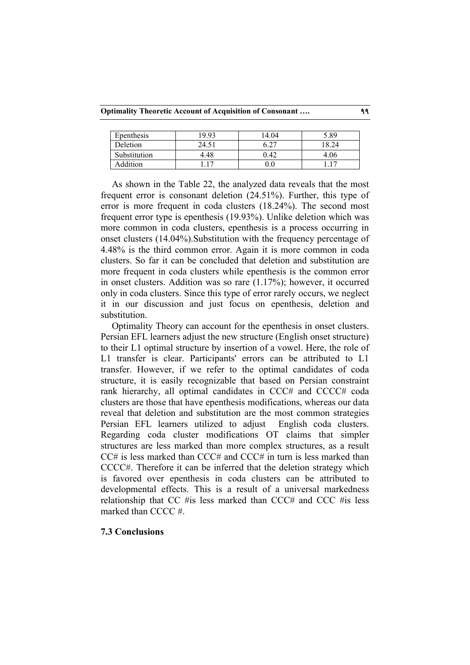**Optimality Theoretic Account of Acquisition of Consonant …. 99**

| Epenthesis   | 19 93 | 14.04 | 5.89 |
|--------------|-------|-------|------|
| Deletion     | 24.51 | 6.27  | 8.24 |
| Substitution | 4.48  | 0.42  | 4.06 |
| Addition     |       | 0.0   |      |

As shown in the Table 22, the analyzed data reveals that the most frequent error is consonant deletion (24.51%). Further, this type of error is more frequent in coda clusters (18.24%). The second most frequent error type is epenthesis (19.93%). Unlike deletion which was more common in coda clusters, epenthesis is a process occurring in onset clusters (14.04%).Substitution with the frequency percentage of 4.48% is the third common error. Again it is more common in coda clusters. So far it can be concluded that deletion and substitution are more frequent in coda clusters while epenthesis is the common error in onset clusters. Addition was so rare (1.17%); however, it occurred only in coda clusters. Since this type of error rarely occurs, we neglect it in our discussion and just focus on epenthesis, deletion and substitution.

Optimality Theory can account for the epenthesis in onset clusters. Persian EFL learners adjust the new structure (English onset structure) to their L1 optimal structure by insertion of a vowel. Here, the role of L1 transfer is clear. Participants' errors can be attributed to L1 transfer. However, if we refer to the optimal candidates of coda structure, it is easily recognizable that based on Persian constraint rank hierarchy, all optimal candidates in CCC# and CCCC# coda clusters are those that have epenthesis modifications, whereas our data reveal that deletion and substitution are the most common strategies Persian EFL learners utilized to adjust English coda clusters. Regarding coda cluster modifications OT claims that simpler structures are less marked than more complex structures, as a result CC# is less marked than CCC# and CCC# in turn is less marked than CCCC#. Therefore it can be inferred that the deletion strategy which is favored over epenthesis in coda clusters can be attributed to developmental effects. This is a result of a universal markedness relationship that CC #is less marked than CCC# and CCC #is less marked than CCCC #.

# **7.3 Conclusions**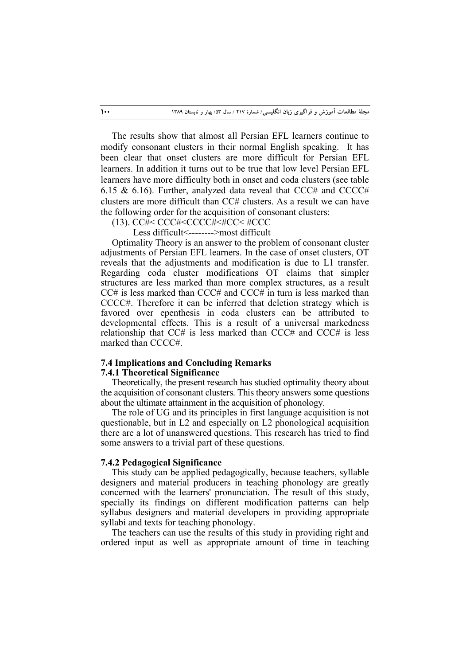The results show that almost all Persian EFL learners continue to modify consonant clusters in their normal English speaking. It has been clear that onset clusters are more difficult for Persian EFL learners. In addition it turns out to be true that low level Persian EFL learners have more difficulty both in onset and coda clusters (see table 6.15 & 6.16). Further, analyzed data reveal that  $CCC\#$  and  $CCCC\#$ clusters are more difficult than CC# clusters. As a result we can have the following order for the acquisition of consonant clusters:

(13). CC#< CCC#<CCCC#<#CC< #CCC

Less difficult<-------->most difficult

Optimality Theory is an answer to the problem of consonant cluster adjustments of Persian EFL learners. In the case of onset clusters, OT reveals that the adjustments and modification is due to L1 transfer. Regarding coda cluster modifications OT claims that simpler structures are less marked than more complex structures, as a result CC# is less marked than CCC# and CCC# in turn is less marked than CCCC#. Therefore it can be inferred that deletion strategy which is favored over epenthesis in coda clusters can be attributed to developmental effects. This is a result of a universal markedness relationship that CC# is less marked than CCC# and CCC# is less marked than CCCC#.

## **7.4 Implications and Concluding Remarks**

## **7.4.1 Theoretical Significance**

Theoretically, the present research has studied optimality theory about the acquisition of consonant clusters. This theory answers some questions about the ultimate attainment in the acquisition of phonology.

The role of UG and its principles in first language acquisition is not questionable, but in L2 and especially on L2 phonological acquisition there are a lot of unanswered questions. This research has tried to find some answers to a trivial part of these questions.

## **7.4.2 Pedagogical Significance**

This study can be applied pedagogically, because teachers, syllable designers and material producers in teaching phonology are greatly concerned with the learners' pronunciation. The result of this study, specially its findings on different modification patterns can help syllabus designers and material developers in providing appropriate syllabi and texts for teaching phonology.

The teachers can use the results of this study in providing right and ordered input as well as appropriate amount of time in teaching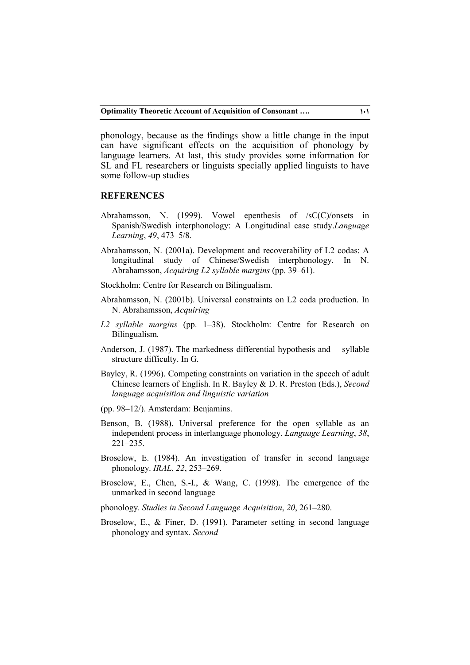phonology, because as the findings show a little change in the input can have significant effects on the acquisition of phonology by language learners. At last, this study provides some information for SL and FL researchers or linguists specially applied linguists to have some follow-up studies

## **REFERENCES**

- Abrahamsson, N. (1999). Vowel epenthesis of /sC(C)/onsets in Spanish/Swedish interphonology: A Longitudinal case study.*Language Learning*, *49*, 473–5/8.
- Abrahamsson, N. (2001a). Development and recoverability of L2 codas: A longitudinal study of Chinese/Swedish interphonology. In N. Abrahamsson, *Acquiring L2 syllable margins* (pp. 39–61).
- Stockholm: Centre for Research on Bilingualism.
- Abrahamsson, N. (2001b). Universal constraints on L2 coda production. In N. Abrahamsson, *Acquiring*
- *L2 syllable margins* (pp. 1–38). Stockholm: Centre for Research on Bilingualism.
- Anderson, J. (1987). The markedness differential hypothesis and syllable structure difficulty. In G.
- Bayley, R. (1996). Competing constraints on variation in the speech of adult Chinese learners of English. In R. Bayley & D. R. Preston (Eds.), *Second language acquisition and linguistic variation*
- (pp. 98–12/). Amsterdam: Benjamins.
- Benson, B. (1988). Universal preference for the open syllable as an independent process in interlanguage phonology. *Language Learning*, *38*, 221–235.
- Broselow, E. (1984). An investigation of transfer in second language phonology. *IRAL*, *22*, 253–269.
- Broselow, E., Chen, S.-I., & Wang, C. (1998). The emergence of the unmarked in second language
- phonology. *Studies in Second Language Acquisition*, *20*, 261–280.
- Broselow, E., & Finer, D. (1991). Parameter setting in second language phonology and syntax. *Second*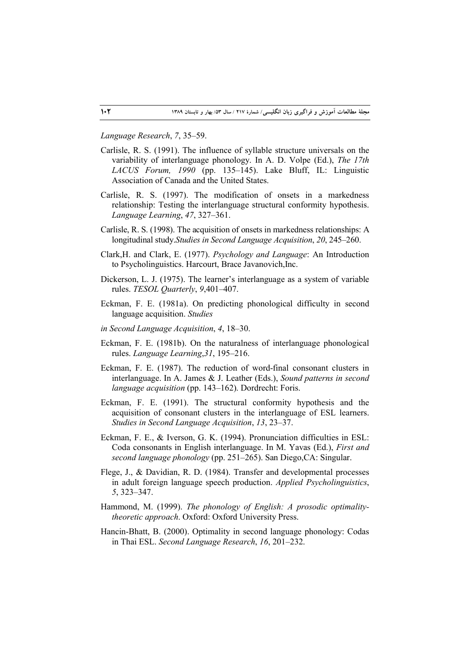#### *Language Research*, *7*, 35–59.

- Carlisle, R. S. (1991). The influence of syllable structure universals on the variability of interlanguage phonology. In A. D. Volpe (Ed.), *The 17th LACUS Forum, 1990* (pp. 135–145). Lake Bluff, IL: Linguistic Association of Canada and the United States.
- Carlisle, R. S. (1997). The modification of onsets in a markedness relationship: Testing the interlanguage structural conformity hypothesis. *Language Learning*, *47*, 327–361.
- Carlisle, R. S. (1998). The acquisition of onsets in markedness relationships: A longitudinal study.*Studies in Second Language Acquisition*, *20*, 245–260.
- Clark,H. and Clark, E. (1977). *Psychology and Language*: An Introduction to Psycholinguistics. Harcourt, Brace Javanovich,Inc.
- Dickerson, L. J. (1975). The learner's interlanguage as a system of variable rules. *TESOL Quarterly*, *9*,401–407.
- Eckman, F. E. (1981a). On predicting phonological difficulty in second language acquisition. *Studies*
- *in Second Language Acquisition*, *4*, 18–30.
- Eckman, F. E. (1981b). On the naturalness of interlanguage phonological rules. *Language Learning*,*31*, 195–216.
- Eckman, F. E. (1987). The reduction of word-final consonant clusters in interlanguage. In A. James & J. Leather (Eds.), *Sound patterns in second language acquisition* (pp. 143–162). Dordrecht: Foris.
- Eckman, F. E. (1991). The structural conformity hypothesis and the acquisition of consonant clusters in the interlanguage of ESL learners. *Studies in Second Language Acquisition*, *13*, 23–37.
- Eckman, F. E., & Iverson, G. K. (1994). Pronunciation difficulties in ESL: Coda consonants in English interlanguage. In M. Yavas (Ed.), *First and second language phonology* (pp. 251–265). San Diego,CA: Singular.
- Flege, J., & Davidian, R. D. (1984). Transfer and developmental processes in adult foreign language speech production. *Applied Psycholinguistics*, *5*, 323–347.
- Hammond, M. (1999). *The phonology of English: A prosodic optimalitytheoretic approach*. Oxford: Oxford University Press.
- Hancin-Bhatt, B. (2000). Optimality in second language phonology: Codas in Thai ESL. *Second Language Research*, *16*, 201–232.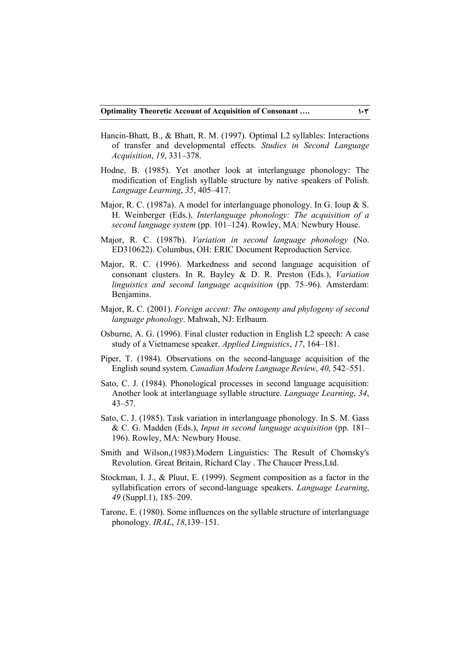- Hancin-Bhatt, B., & Bhatt, R. M. (1997). Optimal L2 syllables: Interactions of transfer and developmental effects. *Studies in Second Language Acquisition*, *19*, 331–378.
- Hodne, B. (1985). Yet another look at interlanguage phonology: The modification of English syllable structure by native speakers of Polish. *Language Learning*, *35*, 405–417.
- Major, R. C. (1987a). A model for interlanguage phonology. In G. Ioup & S. H. Weinberger (Eds.), *Interlanguage phonology: The acquisition of a second language system* (pp. 101–124). Rowley, MA: Newbury House.
- Major, R. C. (1987b). *Variation in second language phonology* (No. ED310622). Columbus, OH: ERIC Document Reproduction Service.
- Major, R. C. (1996). Markedness and second language acquisition of consonant clusters. In R. Bayley & D. R. Preston (Eds.), *Variation linguistics and second language acquisition* (pp. 75–96). Amsterdam: Benjamins.
- Major, R. C. (2001). *Foreign accent: The ontogeny and phylogeny of second language phonology*. Mahwah, NJ: Erlbaum.
- Osburne, A. G. (1996). Final cluster reduction in English L2 speech: A case study of a Vietnamese speaker. *Applied Linguistics*, *17*, 164–181.
- Piper, T. (1984). Observations on the second-language acquisition of the English sound system. *Canadian Modern Language Review*, *40*, 542–551.
- Sato, C. J. (1984). Phonological processes in second language acquisition: Another look at interlanguage syllable structure. *Language Learning*, *34*, 43–57.
- Sato, C. J. (1985). Task variation in interlanguage phonology. In S. M. Gass & C. G. Madden (Eds.), *Input in second language acquisition* (pp. 181– 196). Rowley, MA: Newbury House.
- Smith and Wilson,(1983).Modern Linguistics: The Result of Chomsky's Revolution. Great Britain, Richard Clay . The Chaucer Press,Ltd.
- Stockman, I. J., & Pluut, E. (1999). Segment composition as a factor in the syllabification errors of second-language speakers. *Language Learning*, *49* (Suppl.1), 185–209.
- Tarone, E. (1980). Some influences on the syllable structure of interlanguage phonology. *IRAL*, *18*,139–151.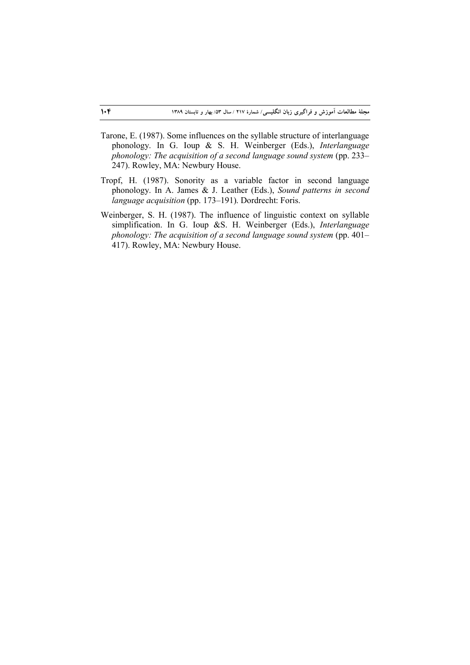- Tarone, E. (1987). Some influences on the syllable structure of interlanguage phonology. In G. Ioup & S. H. Weinberger (Eds.), *Interlanguage phonology: The acquisition of a second language sound system (pp. 233–* 247). Rowley, MA: Newbury House.
- Tropf, H. (1987). Sonority as a variable factor in second language phonology. In A. James & J. Leather (Eds.), *Sound patterns in second language acquisition* (pp. 173–191). Dordrecht: Foris.
- Weinberger, S. H. (1987). The influence of linguistic context on syllable simplification. In G. Ioup &S. H. Weinberger (Eds.), *Interlanguage phonology: The acquisition of a second language sound system* (pp. 401– 417). Rowley, MA: Newbury House.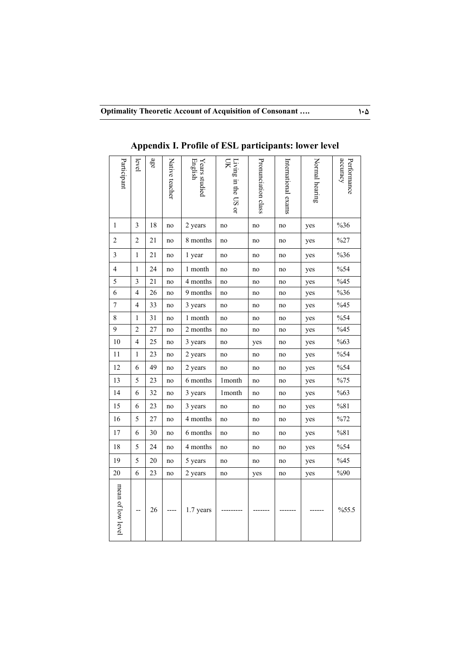| Participant              | level                   | age    | Native teacher | English<br>Years studied | Living in the US or<br>Я | Pronunciation class | International exams | Normal hearing | <i>ecuracy</i><br>Performance |
|--------------------------|-------------------------|--------|----------------|--------------------------|--------------------------|---------------------|---------------------|----------------|-------------------------------|
| 1                        | 3                       | 18     | no             | 2 years                  | no                       | $\rm no$            | $\rm no$            | yes            | $\%36$                        |
| $\mathbf{2}$             | 2                       | 21     | no             | 8 months                 | no                       | no                  | no                  | yes            | %27                           |
| $\mathfrak{Z}$           | $\mathbf{1}$            | 21     | no             | 1 year                   | no                       | no                  | no                  | yes            | %36                           |
| $\overline{\mathbf{4}}$  | $\mathbf{1}$            | 24     | no             | 1 month                  | no                       | no                  | no                  | yes            | %54                           |
| 5                        | $\mathfrak{Z}$          | 21     | no             | 4 months                 | no                       | no                  | no                  | yes            | %45                           |
| 6                        | $\overline{\mathbf{4}}$ | 26     | no             | 9 months                 | no                       | no                  | no                  | yes            | $\%36$                        |
| $\overline{\mathcal{I}}$ | $\overline{\mathbf{4}}$ | 33     | no             | 3 years                  | no                       | no                  | no                  | yes            | %45                           |
| $\,8\,$                  | $\mathbf{1}$            | 31     | no             | 1 month                  | no                       | no                  | no                  | yes            | %54                           |
| 9                        | $\overline{c}$          | 27     | no             | 2 months                 | no                       | no                  | no                  | yes            | $\frac{6}{45}$                |
| $10\,$                   | $\overline{4}$          | 25     | no             | 3 years                  | no                       | yes                 | no                  | yes            | %63                           |
| $11\,$                   | $\,1$                   | 23     | no             | 2 years                  | no                       | no                  | no                  | yes            | %54                           |
| $12\,$                   | 6                       | 49     | no             | 2 years                  | no                       | no                  | no                  | yes            | %54                           |
| 13                       | 5                       | 23     | no             | 6 months                 | 1month                   | no                  | no                  | yes            | %75                           |
| 14                       | 6                       | 32     | no             | 3 years                  | 1month                   | no                  | no                  | yes            | %63                           |
| 15                       | 6                       | 23     | no             | 3 years                  | no                       | no                  | no                  | yes            | %81                           |
| 16                       | 5                       | $27\,$ | no             | 4 months                 | no                       | no                  | no                  | yes            | %72                           |
| $17\,$                   | 6                       | 30     | no             | 6 months                 | no                       | no                  | no                  | yes            | $\%81$                        |
| $18\,$                   | 5                       | 24     | no             | 4 months                 | no                       | no                  | no                  | yes            | %54                           |
| 19                       | 5                       | 20     | no             | 5 years                  | no                       | no                  | no                  | yes            | %45                           |
| 20                       | 6                       | 23     | no             | 2 years                  | no                       | yes                 | no                  | yes            | $\%90$                        |
| mean of low level        |                         | $26\,$ |                | 1.7 years                |                          |                     |                     |                | %55.5                         |

**Appendix I. Profile of ESL participants: lower level**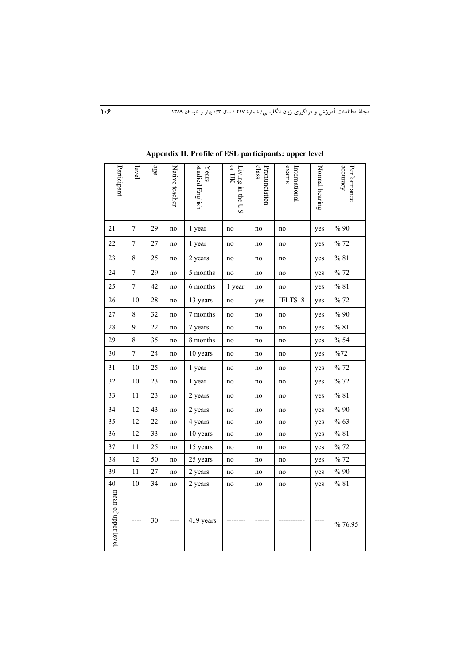| Participant         | level            | age | Native teacher | studied English<br>${\it Years}$ | or UK<br>Living in the US | class<br>Pronunciation | exams<br>International | Normal hearing | accuracy<br>Performance |
|---------------------|------------------|-----|----------------|----------------------------------|---------------------------|------------------------|------------------------|----------------|-------------------------|
| 21                  | $\tau$           | 29  | no             | 1 year                           | no                        | no                     | no                     | yes            | %90                     |
| 22                  | 7                | 27  | no             | 1 year                           | no                        | no                     | no                     | yes            | %72                     |
| 23                  | $\,8\,$          | 25  | no             | 2 years                          | no                        | no                     | no                     | yes            | % 81                    |
| 24                  | $\overline{7}$   | 29  | no             | 5 months                         | no                        | no                     | no                     | yes            | % 72                    |
| 25                  | $\boldsymbol{7}$ | 42  | no             | 6 months                         | 1 year                    | no                     | no                     | yes            | % 81                    |
| 26                  | 10               | 28  | no             | 13 years                         | no                        | yes                    | IELTS 8                | yes            | % 72                    |
| 27                  | 8                | 32  | no             | 7 months                         | no                        | no                     | no                     | yes            | %90                     |
| 28                  | 9                | 22  | no             | 7 years                          | no                        | no                     | no                     | yes            | % 81                    |
| 29                  | 8                | 35  | no             | 8 months                         | no                        | no                     | no                     | yes            | % 54                    |
| 30                  | $\overline{7}$   | 24  | no             | 10 years                         | no                        | no                     | no                     | yes            | %72                     |
| 31                  | $10\,$           | 25  | no             | 1 year                           | no                        | no                     | no                     | yes            | % 72                    |
| 32                  | 10               | 23  | no             | 1 year                           | no                        | no                     | no                     | yes            | %72                     |
| 33                  | $1\,1$           | 23  | no             | 2 years                          | no                        | no                     | no                     | yes            | % 81                    |
| 34                  | 12               | 43  | no             | 2 years                          | no                        | no                     | no                     | yes            | %90                     |
| 35                  | 12               | 22  | no             | 4 years                          | no                        | no                     | no                     | yes            | % 63                    |
| 36                  | 12               | 33  | no             | 10 years                         | no                        | no                     | no                     | yes            | % 81                    |
| 37                  | 11               | 25  | no             | 15 years                         | no                        | no                     | no                     | yes            | % 72                    |
| 38                  | 12               | 50  | no             | 25 years                         | no                        | no                     | no                     | yes            | % 72                    |
| 39                  | 11               | 27  | no             | 2 years                          | no                        | no                     | no                     | yes            | $\%$ 90                 |
| 40                  | 10               | 34  | no             | 2 years                          | no                        | no                     | no                     | yes            | % 81                    |
| mean of upper level |                  | 30  |                | 4.9 years                        |                           |                        |                        |                | % 76.95                 |

**Appendix II. Profile of ESL participants: upper level**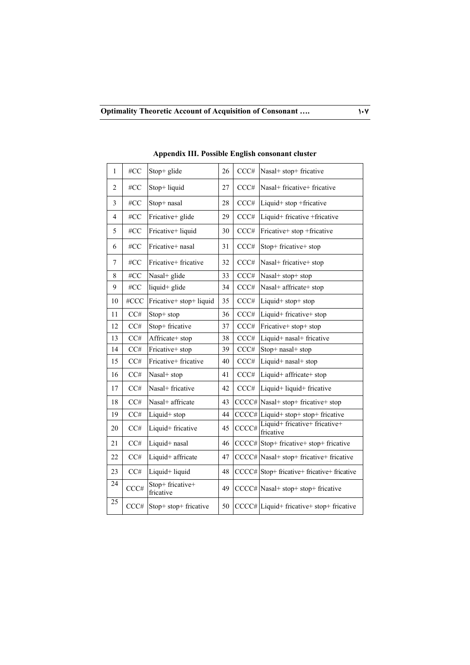| 1              | #CC  | Stop+ glide                   | 26 | CCC#  | Nasal+ stop+ fricative                                                                    |
|----------------|------|-------------------------------|----|-------|-------------------------------------------------------------------------------------------|
| $\overline{c}$ | #CC  | Stop+ liquid                  | 27 | CCC#  | Nasal+ fricative+ fricative                                                               |
| 3              | #CC  | Stop+ nasal                   | 28 | CCC#  | Liquid+ stop +fricative                                                                   |
| $\overline{4}$ | #CC  | Fricative+ glide              | 29 | CCC#  | Liquid+ fricative +fricative                                                              |
| 5              | #CC  | Fricative+ liquid             | 30 | CCC#  | Fricative+ stop +fricative                                                                |
| 6              | #CC  | Fricative+ nasal              | 31 | CCC#  | Stop+ fricative+ stop                                                                     |
| $\overline{7}$ | #CC  | Fricative+ fricative          | 32 | CCC#  | Nasal+ fricative+ stop                                                                    |
| 8              | #CC  | Nasal+ glide                  | 33 | CCC#  | Nasal+ stop+ stop                                                                         |
| 9              | #CC  | liquid+ glide                 | 34 | CCC#  | Nasal+ affricate+ stop                                                                    |
| 10             | #CCC | Fricative+ stop+ liquid       | 35 | CCC#  | Liquid+ stop+ stop                                                                        |
| 11             | CC#  | Stop+ stop                    | 36 | CCC#  | Liquid+ fricative+ stop                                                                   |
| 12             | CC#  | Stop+ fricative               | 37 | CCC#  | Fricative+ stop+ stop                                                                     |
| 13             | CC#  | Affricate+ stop               | 38 | CCC#  | Liquid+ nasal+ fricative                                                                  |
| 14             | CC#  | Fricative+ stop               | 39 | CCC#  | Stop+ nasal+ stop                                                                         |
| 15             | CC#  | Fricative+ fricative          | 40 | CCC#  | Liquid+ nasal+ stop                                                                       |
| 16             | CC#  | Nasal+ stop                   | 41 | CCC#  | Liquid+ affricate+ stop                                                                   |
| 17             | CC#  | Nasal+ fricative              | 42 | CCC#  | Liquid+ liquid+ fricative                                                                 |
| 18             | CC#  | Nasal+ affricate              | 43 |       | CCCC# Nasal+ stop+ fricative+ stop                                                        |
| 19             | CC#  | Liquid+ stop                  | 44 |       | $\text{CCCC#}$ Liquid+ stop+ stop+ fricative                                              |
| 20             | CC#  | Liquid+ fricative             | 45 | CCCC# | Liquid+ fricative+ fricative+<br>fricative                                                |
| 21             | CC#  | Liquid+ nasal                 | 46 |       | $\text{CCCC#}\left  \text{Stop+} \text{fricative+} \text{stop+} \text{fricative} \right $ |
| 22             | CC#  | Liquid+ affricate             | 47 |       | CCCC# Nasal+ stop+ fricative+ fricative                                                   |
| 23             | CC#  | Liquid+ liquid                | 48 |       | CCCC# Stop+ fricative+ fricative+ fricative                                               |
| 24             | CCC# | Stop+ fricative+<br>fricative | 49 |       | CCCC# Nasal+ stop+ stop+ fricative                                                        |
| 25             | CCC# | Stop+ stop+ fricative         | 50 |       | CCCC# Liquid+ fricative+ stop+ fricative                                                  |

**Appendix III. Possible English consonant cluster**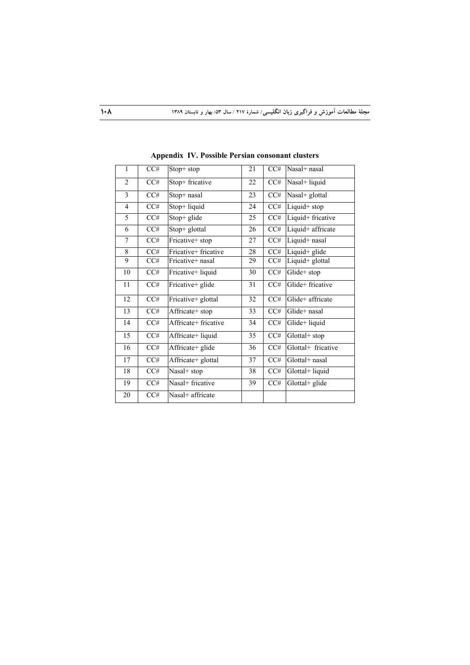| $\mathbf{1}$    | $\overline{CC#}$ | Stop+ stop           | 21              | CC#              | Nasal+ nasal              |
|-----------------|------------------|----------------------|-----------------|------------------|---------------------------|
| $\overline{2}$  | $\overline{CC#}$ | Stop+ fricative      | 22              | CC#              | Nasal+ liquid             |
| 3               | $\overline{CC#}$ | Stop+ nasal          | 23              | CC#              | Nasal+ glottal            |
| $\overline{4}$  | CC#              | Stop+ liquid         | 24              | CC#              | Liquid+ stop              |
| 5               | CC#              | Stop+ glide          | 25              | CC#              | Liquid+ fricative         |
| 6               | CC#              | Stop+ glottal        | 26              | CC#              | Liquid+ affricate         |
| 7               | $\overline{CC#}$ | Fricative+ stop      | 27              | CC#              | Liquid+ nasal             |
| 8               | CC#              | Fricative+ fricative | 28              | $\overline{CC#}$ | Liquid+ glide             |
| 9               | CC#              | Fricative+ nasal     | 29              | CC#              | Liquid+ glottal           |
| 10              | $\overline{CC#}$ | Fricative+ liquid    | 30              | CC#              | $\overline{G}$ lide+ stop |
| 11              | $\overline{CC#}$ | Fricative+ glide     | $\overline{31}$ | $\overline{CC#}$ | Glide+ fricative          |
| 12              | CC#              | Fricative+ glottal   | 32              | CC#              | Glide+ affricate          |
| 13              | CC#              | Affricate+ stop      | 33              | CC#              | Glide+ nasal              |
| 14              | CC#              | Affricate+ fricative | 34              | CC#              | Glide+ liquid             |
| $\overline{15}$ | CC#              | Affricate+ liquid    | $\overline{35}$ | $\overline{CC#}$ | Glottal+ stop             |
| 16              | $\overline{CC#}$ | Affricate+ glide     | 36              | CC#              | Glottal+ fricative        |
| 17              | $\overline{CC#}$ | Affricate+ glottal   | 37              | $\overline{CC#}$ | Glottal+ nasal            |
| 18              | $\overline{CC#}$ | Nasal+ stop          | 38              | CC#              | Glottal+ liquid           |
| 19              | CC#              | Nasal+ fricative     | 39              | CC#              | Glottal+ glide            |
| $20\,$          | CC#              | Nasal+ affricate     |                 |                  |                           |

**Appendix IV. Possible Persian consonant clusters**